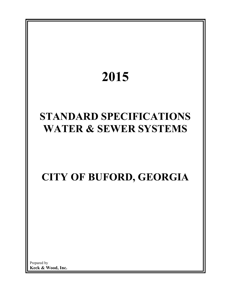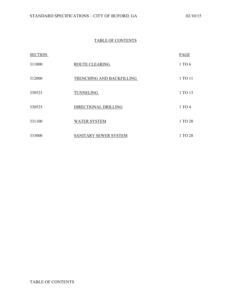# TABLE OF CONTENTS

| <b>SECTION</b> |                           | PAGE    |
|----------------|---------------------------|---------|
| 311000         | <b>ROUTE CLEARING</b>     | 1 TO 6  |
| 312000         | TRENCHING AND BACKFILLING | 1 TO 11 |
| 330523         | TUNNELING                 | 1 TO 13 |
| 330525         | DIRECTIONAL DRILLING      | 1 TO 4  |
| 331100         | <b>WATER SYSTEM</b>       | 1 TO 20 |
| 333000         | SANITARY SEWER SYSTEM     | 1 TO 28 |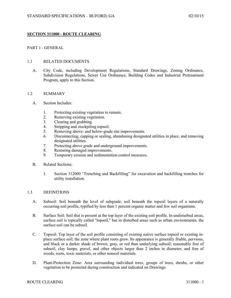## **SECTION 311000 - ROUTE CLEARING**

## PART 1 - GENERAL

## 1.1 RELATED DOCUMENTS

A. City Code, including Development Regulations, Standard Drawings, Zoning Ordinance, Subdivision Regulations, Sewer Use Ordinance, Building Codes and Industrial Pretreatment Program, apply to this Section.

## 1.2 SUMMARY

- A. Section Includes:
	- 1. Protecting existing vegetation to remain.
	- 2. Removing existing vegetation.
	- 3. Clearing and grubbing.
	- 4. Stripping and stockpiling topsoil.
	- 5. Removing above- and below-grade site improvements.
	- 6. Disconnecting, capping or sealing, abandoning designated utilities in place, and removing designated utilities.
	- 7. Protecting above grade and underground improvements.
	- 8. Restoring damaged improvements.
	- 9. Temporary erosion and sedimentation control measures.
- B. Related Sections:
	- 1. Section 312000 "Trenching and Backfilling" for excavation and backfilling trenches for utility installation.

## 1.3 DEFINITIONS

- A. Subsoil: Soil beneath the level of subgrade; soil beneath the topsoil layers of a naturally occurring soil profile, typified by less than 1 percent organic matter and few soil organisms.
- B. Surface Soil: Soil that is present at the top layer of the existing soil profile. In undisturbed areas, surface soil is typically called "topsoil," but in disturbed areas such as urban environments, the surface soil can be subsoil.
- C. Topsoil: Top layer of the soil profile consisting of existing native surface topsoil or existing inplace surface soil; the zone where plant roots grow. Its appearance is generally friable, pervious, and black or a darker shade of brown, gray, or red than underlying subsoil; reasonably free of subsoil, clay lumps, gravel, and other objects larger than 2 inches in diameter; and free of weeds, roots, toxic materials, or other nonsoil materials.
- D. Plant-Protection Zone: Area surrounding individual trees, groups of trees, shrubs, or other vegetation to be protected during construction and indicated on Drawings.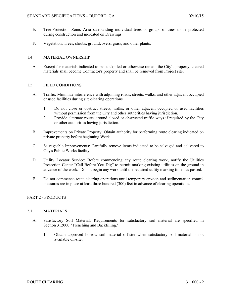- E. Tree-Protection Zone: Area surrounding individual trees or groups of trees to be protected during construction and indicated on Drawings.
- F. Vegetation: Trees, shrubs, groundcovers, grass, and other plants.

## 1.4 MATERIAL OWNERSHIP

A. Except for materials indicated to be stockpiled or otherwise remain the City's property, cleared materials shall become Contractor's property and shall be removed from Project site.

## 1.5 FIELD CONDITIONS

- A. Traffic: Minimize interference with adjoining roads, streets, walks, and other adjacent occupied or used facilities during site-clearing operations.
	- 1. Do not close or obstruct streets, walks, or other adjacent occupied or used facilities without permission from the City and other authorities having jurisdiction.
	- 2. Provide alternate routes around closed or obstructed traffic ways if required by the City or other authorities having jurisdiction.
- B. Improvements on Private Property: Obtain authority for performing route clearing indicated on private property before beginning Work.
- C. Salvageable Improvements: Carefully remove items indicated to be salvaged and delivered to City's Public Works facility.
- D. Utility Locator Service: Before commencing any route clearing work, notify the Utilities Protection Center "Call Before You Dig" to permit marking existing utilities on the ground in advance of the work. Do not begin any work until the required utility marking time has passed.
- E. Do not commence route clearing operations until temporary erosion and sedimentation control measures are in place at least three hundred (300) feet in advance of clearing operations.

## PART 2 - PRODUCTS

## 2.1 MATERIALS

- A. Satisfactory Soil Material: Requirements for satisfactory soil material are specified in Section 312000 "Trenching and Backfilling."
	- 1. Obtain approved borrow soil material off-site when satisfactory soil material is not available on-site.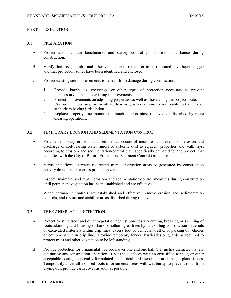### PART 3 - EXECUTION

#### 3.1 PREPARATION

- A. Protect and maintain benchmarks and survey control points from disturbance during construction.
- B. Verify that trees, shrubs, and other vegetation to remain or to be relocated have been flagged and that protection zones have been identified and enclosed.
- C. Protect existing site improvements to remain from damage during construction.
	- 1. Provide barricades, coverings, or other types of protection necessary to prevent unnecessary damage to existing improvements.
	- 2. Protect improvements on adjoining properties as well as those along the project route.
	- 3. Restore damaged improvements to their original condition, as acceptable to the City or authorities having jurisdiction.
	- 4. Replace property line monuments (such as iron pins) removed or disturbed by route clearing operations.

#### 3.2 TEMPORARY EROSION AND SEDIMENTATION CONTROL

- A. Provide temporary erosion- and sedimentation-control measures to prevent soil erosion and discharge of soil-bearing water runoff or airborne dust to adjacent properties and walkways, according to erosion- and sedimentation-control plan, specifically prepared for the project, that complies with the City of Buford Erosion and Sediment Control Ordinance.
- B. Verify that flows of water redirected from construction areas or generated by construction activity do not enter or cross protection zones.
- C. Inspect, maintain, and repair erosion- and sedimentation-control measures during construction until permanent vegetation has been established and are effective.
- D. When permanent controls are established and effective, remove erosion and sedimentation controls, and restore and stabilize areas disturbed during removal.

#### 3.3 TREE AND PLANT PROTECTION

- A. Protect existing trees and other vegetation against unnecessary cutting, breaking or skinning of roots, skinning and bruising of bark, smothering of trees by stockpiling construction materials or excavated materials within drip lines, excess foot or vehicular traffic, or parking of vehicles or equipment within drip line. Provide temporary fences, barricades or guards as required to protect trees and other vegetation to be left standing.
- B. Provide protection for ornamental tree roots over one and one half  $(1/2)$  inches diameter that are cut during any construction operation. Coat the cut faces with an emulsified asphalt, or other acceptable coating, especially formulated for horticultural use on cut or damaged plant tissues. Temporarily cover all exposed roots of ornamental trees with wet burlap to prevent roots from drying out; provide earth cover as soon as possible.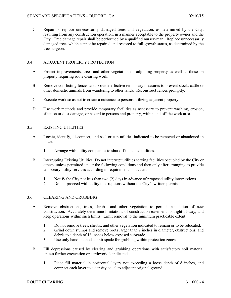C. Repair or replace unnecessarily damaged trees and vegetation, as determined by the City, resulting from any construction operation, in a manner acceptable to the property owner and the City. Tree damage repair shall be performed by a qualified nurseryman. Replace unnecessarily damaged trees which cannot be repaired and restored to full-growth status, as determined by the tree surgeon.

## 3.4 ADJACENT PROPERTY PROTECTION

- A. Protect improvements, trees and other vegetation on adjoining property as well as those on property requiring route clearing work.
- B. Remove conflicting fences and provide effective temporary measures to prevent stock, cattle or other domestic animals from wandering to other lands. Reconstruct fences promptly.
- C. Execute work so as not to create a nuisance to persons utilizing adjacent property.
- D. Use work methods and provide temporary facilities as necessary to prevent washing, erosion, siltation or dust damage, or hazard to persons and property, within and off the work area.

## 3.5 EXISTING UTILITIES

- A. Locate, identify, disconnect, and seal or cap utilities indicated to be removed or abandoned in place.
	- 1. Arrange with utility companies to shut off indicated utilities.
- B. Interrupting Existing Utilities: Do not interrupt utilities serving facilities occupied by the City or others, unless permitted under the following conditions and then only after arranging to provide temporary utility services according to requirements indicated:
	- 1. Notify the City not less than two (2) days in advance of proposed utility interruptions.
	- 2. Do not proceed with utility interruptions without the City's written permission.

## 3.6 CLEARING AND GRUBBING

- A. Remove obstructions, trees, shrubs, and other vegetation to permit installation of new construction. Accurately determine limitations of construction easements or right-of-way, and keep operations within such limits. Limit removal to the minimum practicable extent.
	- 1. Do not remove trees, shrubs, and other vegetation indicated to remain or to be relocated.
	- 2. Grind down stumps and remove roots larger than 2 inches in diameter, obstructions, and debris to a depth of 18 inches below exposed subgrade.
	- 3. Use only hand methods or air spade for grubbing within protection zones.
- B. Fill depressions caused by clearing and grubbing operations with satisfactory soil material unless further excavation or earthwork is indicated.
	- 1. Place fill material in horizontal layers not exceeding a loose depth of 8 inches, and compact each layer to a density equal to adjacent original ground.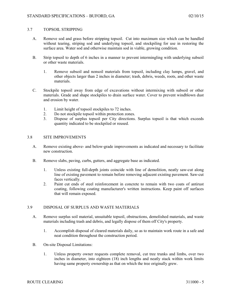## 3.7 TOPSOIL STRIPPING

- A. Remove sod and grass before stripping topsoil. Cut into maximum size which can be handled without tearing, striping sod and underlying topsoil, and stockpiling for use in restoring the surface area. Water sod and otherwise maintain sod in viable, growing condition.
- B. Strip topsoil to depth of 6 inches in a manner to prevent intermingling with underlying subsoil or other waste materials.
	- 1. Remove subsoil and nonsoil materials from topsoil, including clay lumps, gravel, and other objects larger than 2 inches in diameter; trash, debris, weeds, roots, and other waste materials.
- C. Stockpile topsoil away from edge of excavations without intermixing with subsoil or other materials. Grade and shape stockpiles to drain surface water. Cover to prevent windblown dust and erosion by water.
	- 1. Limit height of topsoil stockpiles to 72 inches.<br>2. Do not stockpile topsoil within protection zone
	- 2. Do not stockpile topsoil within protection zones.
	- 3. Dispose of surplus topsoil per City directions. Surplus topsoil is that which exceeds quantity indicated to be stockpiled or reused.

## 3.8 SITE IMPROVEMENTS

- A. Remove existing above- and below-grade improvements as indicated and necessary to facilitate new construction.
- B. Remove slabs, paving, curbs, gutters, and aggregate base as indicated.
	- 1. Unless existing full-depth joints coincide with line of demolition, neatly saw-cut along line of existing pavement to remain before removing adjacent existing pavement. Saw-cut faces vertically.
	- 2. Paint cut ends of steel reinforcement in concrete to remain with two coats of antirust coating, following coating manufacturer's written instructions. Keep paint off surfaces that will remain exposed.

## 3.9 DISPOSAL OF SURPLUS AND WASTE MATERIALS

- A. Remove surplus soil material, unsuitable topsoil, obstructions, demolished materials, and waste materials including trash and debris, and legally dispose of them off City's property.
	- 1. Accomplish disposal of cleared materials daily, so as to maintain work route in a safe and neat condition throughout the construction period.
- B. On-site Disposal Limitations:
	- 1. Unless property owner requests complete removal, cut tree trunks and limbs, over two inches in diameter, into eighteen (18) inch lengths and neatly stack within work limits having same property ownership as that on which the tree originally grew.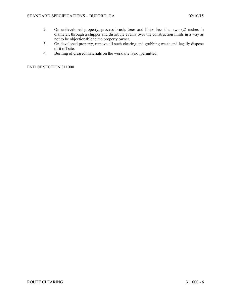- 2. On undeveloped property, process brush, trees and limbs less than two (2) inches in diameter, through a chipper and distribute evenly over the construction limits in a way as not to be objectionable to the property owner.
- 3. On developed property, remove all such clearing and grubbing waste and legally dispose of it off site.
- 4. Burning of cleared materials on the work site is not permitted.

END OF SECTION 311000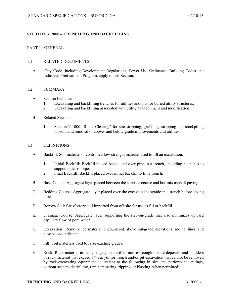## **SECTION 312000 – TRENCHING AND BACKFILLING**

## PART 1 - GENERAL

#### 1.1 RELATED DOCUMENTS

A. City Code, including Development Regulations, Sewer Use Ordinance, Building Codes and Industrial Pretreatment Program, apply to this Section.

### 1.2 SUMMARY

- A. Section Includes:
	- 1. Excavating and backfilling trenches for utilities and pits for buried utility structures.
	- 2. Excavating and backfilling associated with utility abandonment and modification.

#### B. Related Sections:

1. Section 311000 "Route Clearing" for site stripping, grubbing, stripping and stockpiling topsoil, and removal of above- and below-grade improvements and utilities.

#### 1.3 DEFINITIONS

- A. Backfill: Soil material or controlled low-strength material used to fill an excavation.
	- 1. Initial Backfill: Backfill placed beside and over pipe in a trench, including haunches to support sides of pipe.
	- 2. Final Backfill: Backfill placed over initial backfill to fill a trench.
- B. Base Course: Aggregate layer placed between the subbase course and hot-mix asphalt paving.
- C. Bedding Course: Aggregate layer placed over the excavated subgrade in a trench before laying pipe.
- D. Borrow Soil: Satisfactory soil imported from off-site for use as fill or backfill.
- E. Drainage Course: Aggregate layer supporting the slab-on-grade that also minimizes upward capillary flow of pore water.
- F. Excavation: Removal of material encountered above subgrade elevations and to lines and dimensions indicated.
- G. Fill: Soil materials used to raise existing grades.
- H. Rock: Rock material in beds, ledges, unstratified masses, conglomerate deposits, and boulders of rock material that exceed 3/4 cu. yd. for trench and/or pit excavation that cannot be removed by rock-excavating equipment equivalent to the following in size and performance ratings, without systematic drilling, ram hammering, ripping, or blasting, when permitted: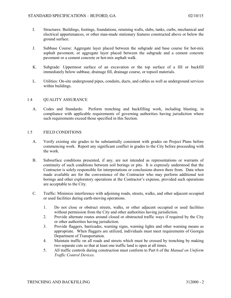- I. Structures: Buildings, footings, foundations, retaining walls, slabs, tanks, curbs, mechanical and electrical appurtenances, or other man-made stationary features constructed above or below the ground surface.
- J. Subbase Course: Aggregate layer placed between the subgrade and base course for hot-mix asphalt pavement, or aggregate layer placed between the subgrade and a cement concrete pavement or a cement concrete or hot-mix asphalt walk.
- K. Subgrade: Uppermost surface of an excavation or the top surface of a fill or backfill immediately below subbase, drainage fill, drainage course, or topsoil materials.
- L. Utilities: On-site underground pipes, conduits, ducts, and cables as well as underground services within buildings.

#### 1.4 QUALITY ASSURANCE

A. Codes and Standards: Perform trenching and backfilling work, including blasting, in compliance with applicable requirements of governing authorities having jurisdiction where such requirements exceed those specified in this Section.

#### 1.5 FIELD CONDITIONS

- A. Verify existing site grades to be substantially consistent with grades on Project Plans before commencing work. Report any significant conflict in grades to the City before proceeding with the work.
- B. Subsurface conditions presented, if any, are not intended as representations or warrants of continuity of such conditions between soil borings or pits. It is expressly understood that the Contractor is solely responsible for interpretations or conclusions drawn there from. Data when made available are for the convenience of the Contractor who may perform additional test borings and other exploratory operations at the Contractor's expense, provided such operations are acceptable to the City.
- C. Traffic: Minimize interference with adjoining roads, streets, walks, and other adjacent occupied or used facilities during earth-moving operations.
	- 1. Do not close or obstruct streets, walks, or other adjacent occupied or used facilities without permission from the City and other authorities having jurisdiction.
	- 2. Provide alternate routes around closed or obstructed traffic ways if required by the City or other authorities having jurisdiction.
	- 3. Provide flaggers, barricades, warning signs, warning lights and other warning means as appropriate. When flaggers are utilized, individuals must meet requirements of Georgia Department of Transportation.
	- 4. Maintain traffic on all roads and streets which must be crossed by trenching by making two separate cuts so that at least one traffic land is open at all times.
	- 5. All traffic controls during construction must conform to Part 6 of the *Manual on Uniform Traffic Control Devices.*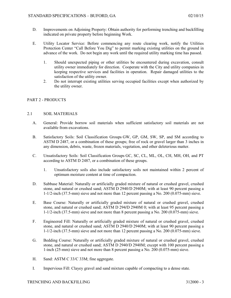- D. Improvements on Adjoining Property: Obtain authority for performing trenching and backfilling indicated on private property before beginning Work.
- E. Utility Locator Service: Before commencing any route clearing work, notify the Utilities Protection Center "Call Before You Dig" to permit marking existing utilities on the ground in advance of the work. Do not begin any work until the required utility marking time has passed.
	- 1. Should unexpected piping or other utilities be encountered during excavation, consult utility owner immediately for direction. Cooperate with the City and utility companies in keeping respective services and facilities in operation. Repair damaged utilities to the satisfaction of the utility owner.
	- 2. Do not interrupt existing utilities serving occupied facilities except when authorized by the utility owner.

## PART 2 - PRODUCTS

## 2.1 SOIL MATERIALS

- A. General: Provide borrow soil materials when sufficient satisfactory soil materials are not available from excavations.
- B. Satisfactory Soils: Soil Classification Groups GW, GP, GM, SW, SP, and SM according to ASTM D 2487, or a combination of these groups; free of rock or gravel larger than 3 inches in any dimension, debris, waste, frozen materials, vegetation, and other deleterious matter.
- C. Unsatisfactory Soils: Soil Classification Groups GC, SC, CL, ML, OL, CH, MH, OH, and PT according to ASTM D 2487, or a combination of these groups.
	- 1. Unsatisfactory soils also include satisfactory soils not maintained within 2 percent of optimum moisture content at time of compaction.
- D. Subbase Material: Naturally or artificially graded mixture of natural or crushed gravel, crushed stone, and natural or crushed sand; ASTM D 2940/D 2940M; with at least 90 percent passing a 1-1/2-inch (37.5-mm) sieve and not more than 12 percent passing a No. 200 (0.075-mm) sieve.
- E. Base Course: Naturally or artificially graded mixture of natural or crushed gravel, crushed stone, and natural or crushed sand; ASTM D 294**/**D 2940M 0; with at least 95 percent passing a 1-1/2-inch (37.5-mm) sieve and not more than 8 percent passing a No. 200 (0.075-mm) sieve.
- F. Engineered Fill: Naturally or artificially graded mixture of natural or crushed gravel, crushed stone, and natural or crushed sand; ASTM D 2940/D 2940M; with at least 90 percent passing a 1-1/2-inch (37.5-mm) sieve and not more than 12 percent passing a No. 200 (0.075-mm) sieve.
- G. Bedding Course: Naturally or artificially graded mixture of natural or crushed gravel, crushed stone, and natural or crushed sand; ASTM D 2940/D 2940M; except with 100 percent passing a 1-inch (25-mm) sieve and not more than 8 percent passing a No. 200 (0.075-mm) sieve.
- H. Sand: ASTM C 33/C 33M; fine aggregate.
- I. Impervious Fill: Clayey gravel and sand mixture capable of compacting to a dense state.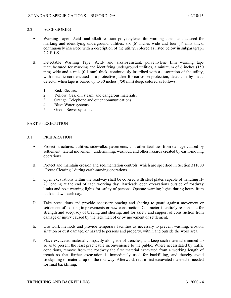## 2.2 ACCESSORIES

- A. Warning Tape: Acid- and alkali-resistant polyethylene film warning tape manufactured for marking and identifying underground utilities, six (6) inches wide and four (4) mils thick, continuously inscribed with a description of the utility; colored as listed below in subparagraph 2.2.B.1-5.
- B. Detectable Warning Tape: Acid- and alkali-resistant, polyethylene film warning tape manufactured for marking and identifying underground utilities, a minimum of 6 inches (150 mm) wide and 4 mils (0.1 mm) thick, continuously inscribed with a description of the utility, with metallic core encased in a protective jacket for corrosion protection, detectable by metal detector when tape is buried up to 30 inches (750 mm) deep; colored as follows:
	- 1. Red: Electric.
	- 2. Yellow: Gas, oil, steam, and dangerous materials.
	- 3. Orange: Telephone and other communications.
	- 4. Blue: Water systems.
	- 5. Green: Sewer systems.

## PART 3 - EXECUTION

## 3.1 PREPARATION

- A. Protect structures, utilities, sidewalks, pavements, and other facilities from damage caused by settlement, lateral movement, undermining, washout, and other hazards created by earth-moving operations.
- B. Protect and maintain erosion and sedimentation controls, which are specified in Section 311000 "Route Clearing," during earth-moving operations.
- C. Open excavations within the roadway shall be covered with steel plates capable of handling H-20 loading at the end of each working day. Barricade open excavations outside of roadway limits and post warning lights for safety of persons. Operate warning lights during hours from dusk to dawn each day.
- D. Take precautions and provide necessary bracing and shoring to guard against movement or settlement of existing improvements or new construction. Contractor is entirely responsible for strength and adequacy of bracing and shoring, and for safety and support of construction from damage or injury caused by the lack thereof or by movement or settlement.
- E. Use work methods and provide temporary facilities as necessary to prevent washing, erosion, siltation or dust damage, or hazard to persons and property, within and outside the work area.
- F. Place excavated material compactly alongside of trenches, and keep such material trimmed up so as to present the least practicable inconvenience to the public. Where necessitated by traffic conditions, remove from the roadway the first material excavated from a working length of trench so that further excavation is immediately used for backfilling, and thereby avoid stockpiling of material up on the roadway. Afterward, return first excavated material if needed for final backfilling.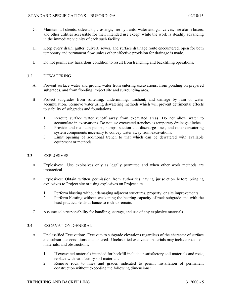- G. Maintain all streets, sidewalks, crossings, fire hydrants, water and gas valves, fire alarm boxes, and other utilities accessible for their intended use except while the work is steadily advancing in the immediate vicinity of each such facility.
- H. Keep every drain, gutter, culvert, sewer, and surface drainage route encountered, open for both temporary and permanent flow unless other effective provision for drainage is made.
- I. Do not permit any hazardous condition to result from trenching and backfilling operations.

## 3.2 DEWATERING

- A. Prevent surface water and ground water from entering excavations, from ponding on prepared subgrades, and from flooding Project site and surrounding area.
- B. Protect subgrades from softening, undermining, washout, and damage by rain or water accumulation. Remove water using dewatering methods which will prevent detrimental effects to stability of subgrades and foundations.
	- 1. Reroute surface water runoff away from excavated areas. Do not allow water to accumulate in excavations. Do not use excavated trenches as temporary drainage ditches.
	- 2. Provide and maintain pumps, sumps, suction and discharge lines, and other dewatering system components necessary to convey water away from excavations.
	- 3. Limit opening of additional trench to that which can be dewatered with available equipment or methods.

## 3.3 EXPLOSIVES

- A. Explosives: Use explosives only as legally permitted and when other work methods are impractical.
- B. Explosives: Obtain written permission from authorities having jurisdiction before bringing explosives to Project site or using explosives on Project site.
	- 1. Perform blasting without damaging adjacent structures, property, or site improvements.
	- 2. Perform blasting without weakening the bearing capacity of rock subgrade and with the least-practicable disturbance to rock to remain.
- C. Assume sole responsibility for handling, storage, and use of any explosive materials.

## 3.4 EXCAVATION, GENERAL

- A. Unclassified Excavation: Excavate to subgrade elevations regardless of the character of surface and subsurface conditions encountered. Unclassified excavated materials may include rock, soil materials, and obstructions.
	- 1. If excavated materials intended for backfill include unsatisfactory soil materials and rock, replace with satisfactory soil materials.
	- 2. Remove rock to lines and grades indicated to permit installation of permanent construction without exceeding the following dimensions: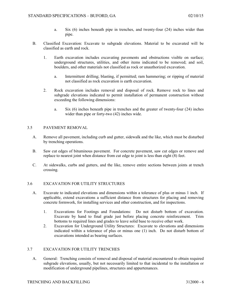- a. Six (6) inches beneath pipe in trenches, and twenty-four (24) inches wider than pipe.
- B. Classified Excavation: Excavate to subgrade elevations. Material to be excavated will be classified as earth and rock.
	- 1. Earth excavation includes excavating pavements and obstructions visible on surface; underground structures, utilities, and other items indicated to be removed; and soil, boulders, and other materials not classified as rock or unauthorized excavation.
		- a. Intermittent drilling; blasting, if permitted; ram hammering; or ripping of material not classified as rock excavation is earth excavation.
	- 2. Rock excavation includes removal and disposal of rock. Remove rock to lines and subgrade elevations indicated to permit installation of permanent construction without exceeding the following dimensions:
		- a. Six (6) inches beneath pipe in trenches and the greater of twenty-four (24) inches wider than pipe or forty-two (42) inches wide.

## 3.5 PAVEMENT REMOVAL

- A. Remove all pavement, including curb and gutter, sidewalk and the like, which must be disturbed by trenching operations.
- B. Saw cut edges of bituminous pavement. For concrete pavement, saw cut edges or remove and replace to nearest joint when distance from cut edge to joint is less than eight (8) feet.
- C. At sidewalks, curbs and gutters, and the like, remove entire sections between joints at trench crossing.

## 3.6 EXCAVATION FOR UTILITY STRUCTURES

- A. Excavate to indicated elevations and dimensions within a tolerance of plus or minus 1 inch. If applicable, extend excavations a sufficient distance from structures for placing and removing concrete formwork, for installing services and other construction, and for inspections.
	- 1. Excavations for Footings and Foundations: Do not disturb bottom of excavation. Excavate by hand to final grade just before placing concrete reinforcement. Trim bottoms to required lines and grades to leave solid base to receive other work.
	- 2. Excavation for Underground Utility Structures: Excavate to elevations and dimensions indicated within a tolerance of plus or minus one (1) inch. Do not disturb bottom of excavations intended as bearing surfaces.

## 3.7 EXCAVATION FOR UTILITY TRENCHES

A. General: Trenching consists of removal and disposal of material encountered to obtain required subgrade elevations, usually, but not necessarily limited to that incidental to the installation or modification of underground pipelines, structures and appurtenances.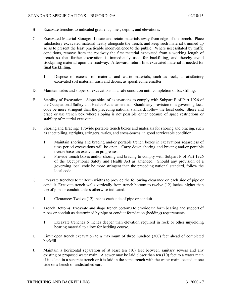- B. Excavate trenches to indicated gradients, lines, depths, and elevations.
- C. Excavated Material Storage: Locate and retain materials away from edge of the trench. Place satisfactory excavated material neatly alongside the trench, and keep such material trimmed up so as to present the least practicable inconvenience to the public. Where necessitated by traffic conditions, remove from the roadway the first material excavated from a working length of trench so that further excavation is immediately used for backfilling, and thereby avoid stockpiling material upon the roadway. Afterward, return first excavated material if needed for final backfilling.
	- 1. Dispose of excess soil material and waste materials, such as rock, unsatisfactory excavated soil material, trash and debris, as specified hereinafter.
- D. Maintain sides and slopes of excavations in a safe condition until completion of backfilling.
- E. Stability of Excavation: Slope sides of excavations to comply with Subpart P of Part 1926 of the Occupational Safety and Health Act as amended. Should any provision of a governing local code be more stringent than the preceding national standard, follow the local code. Shore and brace or use trench box where sloping is not possible either because of space restrictions or stability of material excavated.
- F. Shoring and Bracing: Provide portable trench boxes and materials for shoring and bracing, such as sheet piling, uprights, stringers, wales, and cross-braces, in good serviceable condition.
	- 1. Maintain shoring and bracing and/or portable trench boxes in excavations regardless of time period excavations will be open. Carry down shoring and bracing and/or portable trench boxes as excavation progresses.
	- 2. Provide trench boxes and/or shoring and bracing to comply with Subpart P of Part 1926 of the Occupational Safety and Health Act as amended. Should any provision of a governing local code be more stringent than the preceding national standard, follow the local code.
- G. Excavate trenches to uniform widths to provide the following clearance on each side of pipe or conduit. Excavate trench walls vertically from trench bottom to twelve (12) inches higher than top of pipe or conduit unless otherwise indicated.
	- 1. Clearance: Twelve (12) inches each side of pipe or conduit.
- H. Trench Bottoms: Excavate and shape trench bottoms to provide uniform bearing and support of pipes or conduit as determined by pipe or conduit foundation (bedding) requirements.
	- 1. Excavate trenches 6 inches deeper than elevation required in rock or other unyielding bearing material to allow for bedding course.
- I. Limit open trench excavation to a maximum of three hundred (300) feet ahead of completed backfill.
- J. Maintain a horizontal separation of at least ten (10) feet between sanitary sewers and any existing or proposed water main. A sewer may be laid closer than ten (10) feet to a water main if it is laid in a separate trench or it is laid in the same trench with the water main located at one side on a bench of undisturbed earth.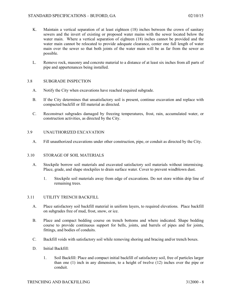- K. Maintain a vertical separation of at least eighteen (18) inches between the crown of sanitary sewers and the invert of existing or proposed water mains with the sewer located below the water main. Where a vertical separation of eighteen (18) inches cannot be provided and the water main cannot be relocated to provide adequate clearance, center one full length of water main over the sewer so that both joints of the water main will be as far from the sewer as possible.
- L. Remove rock, masonry and concrete material to a distance of at least six inches from all parts of pipe and appurtenances being installed.

## 3.8 SUBGRADE INSPECTION

- A. Notify the City when excavations have reached required subgrade.
- B. If the City determines that unsatisfactory soil is present, continue excavation and replace with compacted backfill or fill material as directed.
- C. Reconstruct subgrades damaged by freezing temperatures, frost, rain, accumulated water, or construction activities, as directed by the City.
- 3.9 UNAUTHORIZED EXCAVATION
	- A. Fill unauthorized excavations under other construction, pipe, or conduit as directed by the City.

#### 3.10 STORAGE OF SOIL MATERIALS

- A. Stockpile borrow soil materials and excavated satisfactory soil materials without intermixing. Place, grade, and shape stockpiles to drain surface water. Cover to prevent windblown dust.
	- 1. Stockpile soil materials away from edge of excavations. Do not store within drip line of remaining trees.

#### 3.11 UTILITY TRENCH BACKFILL

- A. Place satisfactory soil backfill material in uniform layers, to required elevations. Place backfill on subgrades free of mud, frost, snow, or ice.
- B. Place and compact bedding course on trench bottoms and where indicated. Shape bedding course to provide continuous support for bells, joints, and barrels of pipes and for joints, fittings, and bodies of conduits.
- C. Backfill voids with satisfactory soil while removing shoring and bracing and/or trench boxes.
- D. Initial Backfill:
	- 1. Soil Backfill: Place and compact initial backfill of satisfactory soil, free of particles larger than one (1) inch in any dimension, to a height of twelve (12) inches over the pipe or conduit.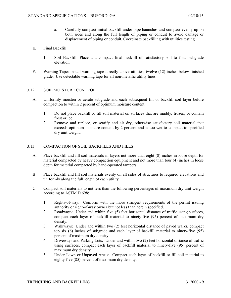- a. Carefully compact initial backfill under pipe haunches and compact evenly up on both sides and along the full length of piping or conduit to avoid damage or displacement of piping or conduit. Coordinate backfilling with utilities testing.
- E. Final Backfill:
	- 1. Soil Backfill: Place and compact final backfill of satisfactory soil to final subgrade elevation.
- F. Warning Tape: Install warning tape directly above utilities, twelve (12) inches below finished grade. Use detectable warning tape for all non-metallic utility lines.

#### 3.12 SOIL MOISTURE CONTROL

- A. Uniformly moisten or aerate subgrade and each subsequent fill or backfill soil layer before compaction to within 2 percent of optimum moisture content.
	- 1. Do not place backfill or fill soil material on surfaces that are muddy, frozen, or contain frost or ice.
	- 2. Remove and replace, or scarify and air dry, otherwise satisfactory soil material that exceeds optimum moisture content by 2 percent and is too wet to compact to specified dry unit weight.

#### 3.13 COMPACTION OF SOIL BACKFILLS AND FILLS

- A. Place backfill and fill soil materials in layers not more than eight (8) inches in loose depth for material compacted by heavy compaction equipment and not more than four (4) inches in loose depth for material compacted by hand-operated tampers.
- B. Place backfill and fill soil materials evenly on all sides of structures to required elevations and uniformly along the full length of each utility.
- C. Compact soil materials to not less than the following percentages of maximum dry unit weight according to ASTM D 698:
	- 1. Rights-of-way: Conform with the more stringent requirements of the permit issuing authority or right-of-way owner but not less than herein specified.
	- 2. Roadways: Under and within five (5) feet horizontal distance of traffic using surfaces, compact each layer of backfill material to ninety-five (95) percent of maximum dry density.
	- 3. Walkways: Under and within two (2) feet horizontal distance of paved walks, compact top six (6) inches of subgrade and each layer of backfill material to ninety-five (95) percent of maximum dry density.
	- 4. Driveways and Parking Lots: Under and within two (2) feet horizontal distance of traffic using surfaces, compact each layer of backfill material to ninety-five (95) percent of maximum dry density.
	- 5. Under Lawn or Unpaved Areas: Compact each layer of backfill or fill soil material to eighty-five (85) percent of maximum dry density.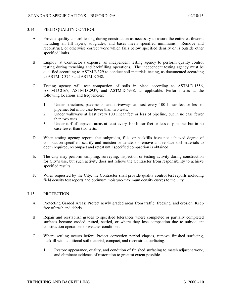### 3.14 FIELD QUALITY CONTROL

- A. Provide quality control testing during construction as necessary to assure the entire earthwork, including all fill layers, subgrades, and bases meets specified minimums. Remove and reconstruct, or otherwise correct work which falls below specified density or is outside other specified limits.
- B. Employ, at Contractor's expense, an independent testing agency to perform quality control testing during trenching and backfilling operations. The independent testing agency must be qualified according to ASTM E 329 to conduct soil materials testing, as documented according to ASTM D 3740 and ASTM E 548.
- C. Testing agency will test compaction of soils in place according to ASTM D 1556, ASTM D 2167, ASTM D 2937, and ASTM D 6938, as applicable. Perform tests at the following locations and frequencies:
	- 1. Under structures, pavements, and driveways at least every 100 linear feet or less of pipeline, but in no case fewer than two tests.
	- 2. Under walkways at least every 100 linear feet or less of pipeline, but in no case fewer than two tests.
	- 3. Under turf of unpaved areas at least every 100 linear feet or less of pipeline, but in no case fewer than two tests.
- D. When testing agency reports that subgrades, fills, or backfills have not achieved degree of compaction specified, scarify and moisten or aerate, or remove and replace soil materials to depth required; recompact and retest until specified compaction is obtained.
- E. The City may perform sampling, surveying, inspection or testing activity during construction for City's use, but such activity does not relieve the Contractor from responsibility to achieve specified results.
- F. When requested by the City, the Contractor shall provide quality control test reports including field density test reports and optimum moisture-maximum density curves to the City.

## 3.15 PROTECTION

- A. Protecting Graded Areas: Protect newly graded areas from traffic, freezing, and erosion. Keep free of trash and debris.
- B. Repair and reestablish grades to specified tolerances where completed or partially completed surfaces become eroded, rutted, settled, or where they lose compaction due to subsequent construction operations or weather conditions.
- C. Where settling occurs before Project correction period elapses, remove finished surfacing, backfill with additional soil material, compact, and reconstruct surfacing.
	- 1. Restore appearance, quality, and condition of finished surfacing to match adjacent work, and eliminate evidence of restoration to greatest extent possible.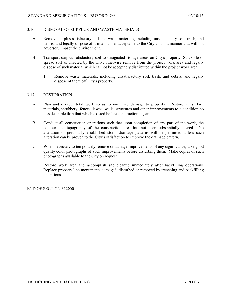## 3.16 DISPOSAL OF SURPLUS AND WASTE MATERIALS

- A. Remove surplus satisfactory soil and waste materials, including unsatisfactory soil, trash, and debris, and legally dispose of it in a manner acceptable to the City and in a manner that will not adversely impact the environment.
- B. Transport surplus satisfactory soil to designated storage areas on City's property. Stockpile or spread soil as directed by the City; otherwise remove from the project work area and legally dispose of such material which cannot be acceptably distributed within the project work area.
	- 1. Remove waste materials, including unsatisfactory soil, trash, and debris, and legally dispose of them off City's property.

## 3.17 RESTORATION

- A. Plan and execute total work so as to minimize damage to property. Restore all surface materials, shrubbery, fences, lawns, walls, structures and other improvements to a condition no less desirable than that which existed before construction began.
- B. Conduct all construction operations such that upon completion of any part of the work, the contour and topography of the construction area has not been substantially altered. No alteration of previously established storm drainage patterns will be permitted unless such alteration can be proven to the City's satisfaction to improve the drainage pattern.
- C. When necessary to temporarily remove or damage improvements of any significance, take good quality color photographs of such improvements before disturbing them. Make copies of such photographs available to the City on request.
- D. Restore work area and accomplish site cleanup immediately after backfilling operations. Replace property line monuments damaged, disturbed or removed by trenching and backfilling operations.

END OF SECTION 312000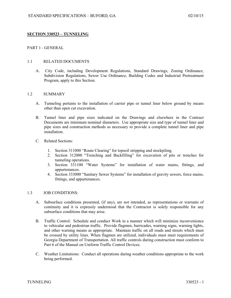## **SECTION 330523 – TUNNELING**

### PART 1 - GENERAL

#### 1.1 RELATED DOCUMENTS

A. City Code, including Development Regulations, Standard Drawings, Zoning Ordinance, Subdivision Regulations, Sewer Use Ordinance, Building Codes and Industrial Pretreatment Program, apply to this Section.

#### 1.2 SUMMARY

- A. Tunneling pertains to the installation of carrier pipe or tunnel liner below ground by means other than open cut excavation.
- B. Tunnel liner and pipe sizes indicated on the Drawings and elsewhere in the Contract Documents are minimum nominal diameters. Use appropriate size and type of tunnel liner and pipe sizes and construction methods as necessary to provide a complete tunnel liner and pipe installation.
- C. Related Sections:
	- 1. Section 311000 "Route Clearing" for topsoil stripping and stockpiling.
	- 2. Section 312000 "Trenching and Backfilling" for excavation of pits or trenches for tunneling operations.
	- 3. Section 331100 "Water Systems" for installation of water mains, fittings, and appurtenances.
	- 4. Section 333000 "Sanitary Sewer Systems" for installation of gravity sewers, force mains, fittings, and appurtenances.

#### 1.3 JOB CONDITIONS:

- A. Subsurface conditions presented, (if any), are not intended, as representations or warrants of continuity and it is expressly understood that the Contractor is solely responsible for any subsurface conditions that may arise.
- B. Traffic Control: Schedule and conduct Work in a manner which will minimize inconvenience to vehicular and pedestrian traffic. Provide flagmen, barricades, warning signs, warning lights, and other warning means as appropriate. Maintain traffic on all roads and streets which must be crossed by utility lines. When flagmen are utilized, individuals must meet requirements of Georgia Department of Transportation. All traffic controls during construction must conform to Part 6 of the Manual on Uniform Traffic Control Devices.
- C. Weather Limitations: Conduct all operations during weather conditions appropriate to the work being performed.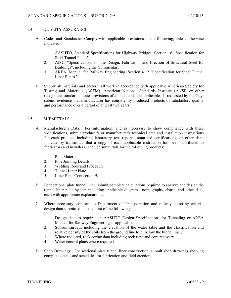## 1.4 QUALITY ASSURANCE:

- A. Codes and Standards: Comply with applicable provisions of the following, unless otherwise indicated:
	- 1. AASHTO, Standard Specifications for Highway Bridges, Section 16 "Specification for Steel Tunnel Plates".
	- 2. AISC, "Specifications for the Design, Fabrication and Erection of Structural Steel for Buildings", including the Commentary.
	- 3. AREA, Manual for Railway Engineering, Section 4.12 "Specification for Steel Tunnel Liner Plates."
- B. Supply all materials and perform all work in accordance with applicable American Society for Testing and Materials (ASTM), American National Standards Institute (ANSI) or other recognized standards. Latest revisions of all standards are applicable. If requested by the City, submit evidence that manufacturer has consistently produced products of satisfactory quality and performance over a period of at least two years.

## 1.5 SUBMITTALS

- A. Manufacturer's Data: For information, and as necessary to show compliance with these specifications, submit producer's or manufacturer's technical data and installation instructions for each product, including laboratory test reports, notarized certifications, or other data. Indicate by transmittal that a copy of each applicable instruction has been distributed to fabricators and installers. Include submittals for the following products:
	- 1. Pipe Material
	- 2. Pipe Jointing Details
	- 3. Welding Rods and Procedure
	- 4. Tunnel Liner Plate
	- 5. Liner Plate Connection Bolts
- B. For sectional plate tunnel liner, submit complete calculations required to analyze and design the tunnel liner plate system including applicable diagrams, nomographs, charts, and other data, each with appropriate explanations.
- C. Where necessary, conform to Department of Transportation and railway company criteria, design data submitted must consist of the following:
	- 1. Design data as required in AASHTO Design Specifications for Tunneling or AREA Manual for Railway Engineering as applicable.
	- 2. Subsoil surveys including the elevation of the water table and the classification and relative density of the soils from the ground line to 3' below the tunnel liner.
	- 3. Where required, rock coring data including rock type and core recovery.
	- 4. Water control plans where required.
- D. Shop Drawings: For sectional plate tunnel liner construction, submit shop drawings showing complete details and schedules for fabrication and field erection.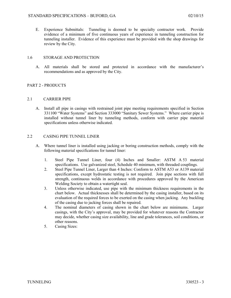E. Experience Submittals: Tunneling is deemed to be specialty contractor work. Provide evidence of a minimum of five continuous years of experience in tunneling construction for tunneling installer. Evidence of this experience must be provided with the shop drawings for review by the City.

## 1.6 STORAGE AND PROTECTION

A. All materials shall be stored and protected in accordance with the manufacturer's recommendations and as approved by the City.

## PART 2 - PRODUCTS

## 2.1 CARRIER PIPE

A. Install all pipe in casings with restrained joint pipe meeting requirements specified in Section 331100 "Water Systems" and Section 333000 "Sanitary Sewer Systems." Where carrier pipe is installed without tunnel liner by tunneling methods, conform with carrier pipe material specifications unless otherwise indicated.

## 2.2 CASING PIPE TUNNEL LINER

- A. Where tunnel liner is installed using jacking or boring construction methods, comply with the following material specifications for tunnel liner:
	- 1. Steel Pipe Tunnel Liner, four (4) Inches and Smaller: ASTM A 53 material specifications. Use galvanized steel, Schedule 40 minimum, with threaded couplings.
	- 2. Steel Pipe Tunnel Liner, Larger than 4 Inches: Conform to ASTM A53 or A139 material specifications, except hydrostatic testing is not required. Join pipe sections with full strength, continuous welds in accordance with procedures approved by the American Welding Society to obtain a watertight seal.
	- 3. Unless otherwise indicated, use pipe with the minimum thickness requirements in the chart below. Actual thicknesses shall be determined by the casing installer, based on its evaluation of the required forces to be exerted on the casing when jacking. Any buckling of the casing due to jacking forces shall be repaired.
	- 4. The nominal diameters of casing shown in the chart below are minimums. Larger casings, with the City's approval, may be provided for whatever reasons the Contractor may decide, whether casing size availability, line and grade tolerances, soil conditions, or other reasons.
	- 5. Casing Sizes: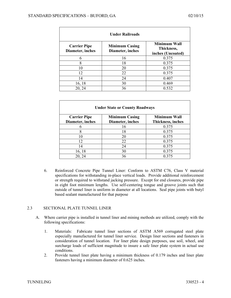| <b>Under Railroads</b>                  |                                           |                                                        |  |  |
|-----------------------------------------|-------------------------------------------|--------------------------------------------------------|--|--|
| <b>Carrier Pipe</b><br>Diameter, inches | <b>Minimum Casing</b><br>Diameter, inches | <b>Minimum Wall</b><br>Thickness,<br>inches (Uncoated) |  |  |
| 6                                       | 16                                        | 0.375                                                  |  |  |
| 8                                       | 18                                        | 0.375                                                  |  |  |
| 10                                      | 20                                        | 0.375                                                  |  |  |
| 12                                      | 22                                        | 0.375                                                  |  |  |
| 14                                      | 24                                        | 0.407                                                  |  |  |
| 16, 18                                  | 30                                        | 0.469                                                  |  |  |
| 20, 24                                  | 36                                        | 0.532                                                  |  |  |

| <b>Under State or County Roadways</b>   |                                           |                                          |  |  |
|-----------------------------------------|-------------------------------------------|------------------------------------------|--|--|
| <b>Carrier Pipe</b><br>Diameter, inches | <b>Minimum Casing</b><br>Diameter, inches | <b>Minimum Wall</b><br>Thickness, inches |  |  |
|                                         | 16                                        | 0.375                                    |  |  |
| 8                                       | 18                                        | 0.375                                    |  |  |
| 10                                      | 20                                        | 0.375                                    |  |  |
| 12                                      | 22                                        | 0.375                                    |  |  |
| 14                                      | 24                                        | 0.375                                    |  |  |
| 16, 18                                  | 30                                        | 0.375                                    |  |  |
| 20, 24                                  | 36                                        | 0.375                                    |  |  |

6. Reinforced Concrete Pipe Tunnel Liner: Conform to ASTM C76, Class V material specifications for withstanding in-place vertical loads. Provide additional reinforcement or strength required to withstand jacking pressure. Except for end closures, provide pipe in eight foot minimum lengths. Use self-centering tongue and groove joints such that outside of tunnel liner is uniform in diameter at all locations. Seal pipe joints with butyl based sealant manufactured for that purpose

## 2.3 SECTIONAL PLATE TUNNEL LINER

- A. Where carrier pipe is installed in tunnel liner and mining methods are utilized, comply with the following specifications:
	- 1. Materials: Fabricate tunnel liner sections of ASTM A569 corrugated steel plate especially manufactured for tunnel liner service. Design liner sections and fasteners in consideration of tunnel location. For liner plate design purposes, use soil, wheel, and surcharge loads of sufficient magnitude to insure a safe liner plate system in actual use conditions.
	- 2. Provide tunnel liner plate having a minimum thickness of 0.179 inches and liner plate fasteners having a minimum diameter of 0.625 inches.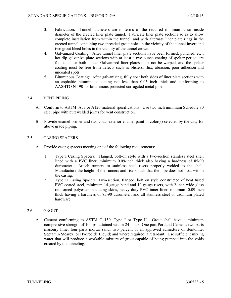- 3. Fabrication: Tunnel diameters are in terms of the required minimum clear inside diameter of the erected liner plate tunnel. Fabricate liner plate sections so as to allow complete installation from within the tunnel, and with alternate liner plate rings in the erected tunnel containing two threaded grout holes in the vicinity of the tunnel invert and two grout bleed holes in the vicinity of the tunnel crown.
- 4. Galvanized Coating: After tunnel liner plate sections have been formed, punched, etc., hot dip galvanize plate sections with at least a two ounce coating of spelter per square foot total for both sides. Galvanized liner plates must not be warped, and the spelter coating must be free from defects such as blisters, flux, abrasion, poor adhesion and uncoated spots.
- 5. Bituminous Coating: After galvanizing, fully coat both sides of liner plate sections with an asphaltic bituminous coating not less than 0.05 inch thick and conforming to AASHTO N 190 for bituminous protected corrugated metal pipe.

## 2.4 VENT PIPING

- A. Conform to ASTM A53 or A120 material specifications. Use two inch minimum Schedule 80 steel pipe with butt welded joints for vent construction.
- B. Provide enamel primer and two coats exterior enamel paint in color(s) selected by the City for above grade piping.

## 2.5 CASING SPACERS

- A. Provide casing spacers meeting one of the following requirements:
	- 1. Type I Casing Spacers: Flanged, bolt-on style with a two-section stainless steel shell lined with a PVC liner, minimum 0.09-inch thick also having a hardness of 85-90 durometer. Attach runners to stainless steel risers properly welded to the shell. Manufacture the height of the runners and risers such that the pipe does not float within the casing.
	- 2. Type II Casing Spacers: Two-section, flanged, bolt on style constructed of heat fused PVC coated steel, minimum 14 gauge band and 10 gauge risers, with 2-inch wide glass reinforced polyester insulating skids, heavy duty PVC inner liner, minimum 0.09-inch thick having a hardness of 85-90 durometer, and all stainless steel or cadmium plated hardware.

## 2.6 GROUT

A. Cement conforming to ASTM C 150, Type I or Type II. Grout shall have a minimum compressive strength of 100 psi attained within 24 hours. One part Portland Cement; two parts masonry lime; four parts mortar sand; two percent of an approved admixture of Bentonite, Septamin Stearex, or Hydrocide Liquid; and where required, a retardant. Use sufficient mixing water that will produce a workable mixture of grout capable of being pumped into the voids created by the tunneling.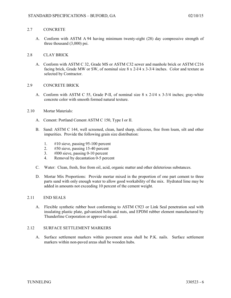## 2.7 CONCRETE

A. Conform with ASTM A 94 having minimum twenty-eight (28) day compressive strength of three thousand (3,000) psi.

## 2.8 CLAY BRICK

A. Conform with ASTM C 32, Grade MS or ASTM C32 sewer and manhole brick or ASTM C216 facing brick, Grade MW or SW, of nominal size 8 x 2-l/4 x 3-3/4 inches. Color and texture as selected by Contractor.

## 2.9 CONCRETE BRICK

A. Conform with ASTM C 55, Grade P-II, of nominal size 8 x 2-l/4 x 3-3/4 inches; gray-white concrete color with smooth formed natural texture.

## 2.10 Mortar Materials:

- A. Cement: Portland Cement ASTM C 150, Type I or II.
- B. Sand: ASTM C 144, well screened, clean, hard sharp, siliceous, free from loam, silt and other impurities. Provide the following grain size distribution:
	- 1. #10 sieve, passing 95-100 percent
	- 2. #50 sieve, passing 15-40 percent
	- 3. #l00 sieve, passing 0-10 percent
	- 4. Removal by decantation 0-5 percent
- C. Water: Clean, fresh, free from oil, acid, organic matter and other deleterious substances.
- D. Mortar Mix Proportions: Provide mortar mixed in the proportion of one part cement to three parts sand with only enough water to allow good workability of the mix. Hydrated lime may be added in amounts not exceeding 10 percent of the cement weight.

## 2.11 END SEALS

A. Flexible synthetic rubber boot conforming to ASTM C923 or Link Seal penetration seal with insulating plastic plate, galvanized bolts and nuts, and EPDM rubber element manufactured by Thunderline Corporation or approved equal.

## 2.12 SURFACE SETTLEMENT MARKERS

A. Surface settlement markers within pavement areas shall be P.K. nails. Surface settlement markers within non-paved areas shall be wooden hubs.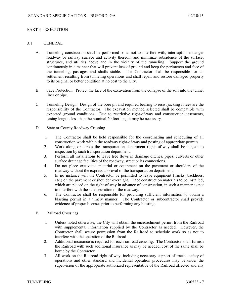## PART 3 - EXECUTION

### 3.1 GENERAL

- A. Tunneling construction shall be performed so as not to interfere with, interrupt or endanger roadway or railway surface and activity thereon, and minimize subsidence of the surface, structures, and utilities above and in the vicinity of the tunneling. Support the ground continuously in a manner that will prevent loss of ground and keep the perimeters and face of the tunneling, passages and shafts stable. The Contractor shall be responsible for all settlement resulting from tunneling operations and shall repair and restore damaged property to its original or better condition at no cost to the City.
- B. Face Protection: Protect the face of the excavation from the collapse of the soil into the tunnel liner or pipe.
- C. Tunneling Design: Design of the bore pit and required bearing to resist jacking forces are the responsibility of the Contractor. The excavation method selected shall be compatible with expected ground conditions. Due to restrictive right-of-way and construction easements, casing lengths less than the nominal 20 foot length may be necessary.
- D. State or County Roadway Crossing
	- 1. The Contractor shall be held responsible for the coordinating and scheduling of all construction work within the roadway right-of-way and posting of appropriate permits.
	- 2. Work along or across the transportation department rights-of-way shall be subject to inspection by such transportation department.
	- 3. Perform all installations to leave free flows in drainage ditches, pipes, culverts or other surface drainage facilities of the roadway, street or its connections.
	- 4. Do not place excavated material or equipment on the pavement or shoulders of the roadway without the express approval of the transportation department.
	- 5. In no instance will the Contractor be permitted to leave equipment (trucks, backhoes, etc.) on the pavement or shoulder overnight. Place construction materials to be installed, which are placed on the right-of-way in advance of construction, in such a manner as not to interfere with the safe operation of the roadway.
	- 6. The Contractor shall be responsible for providing sufficient information to obtain a blasting permit in a timely manner. The Contractor or subcontractor shall provide evidence of proper licenses prior to performing any blasting.
- E. Railroad Crossings
	- 1. Unless noted otherwise, the City will obtain the encroachment permit from the Railroad with supplemental information supplied by the Contractor as needed. However, the Contractor shall secure permission from the Railroad to schedule work so as not to interfere with the operation of the Railroad.
	- 2. Additional insurance is required for each railroad crossing. The Contractor shall furnish the Railroad with such additional insurance as may be needed, cost of the same shall be borne by the Contractor.
	- 3. All work on the Railroad right-of-way, including necessary support of tracks, safety of operations and other standard and incidental operation procedures may be under the supervision of the appropriate authorized representative of the Railroad affected and any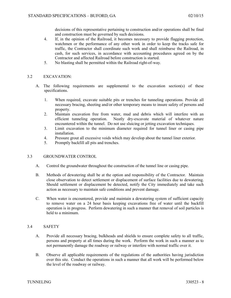decisions of this representative pertaining to construction and/or operations shall be final and construction must be governed by such decisions.

- 4. If, in the opinion of the Railroad, it becomes necessary to provide flagging protection, watchmen or the performance of any other work in order to keep the tracks safe for traffic, the Contractor shall coordinate such work and shall reimburse the Railroad, in cash, for such services, in accordance with accounting procedures agreed on by the Contractor and affected Railroad before construction is started.
- 5. No blasting shall be permitted within the Railroad right-of-way.

## 3.2 EXCAVATION:

- A. The following requirements are supplemental to the excavation section(s) of these specifications.
	- 1. When required, excavate suitable pits or trenches for tunneling operations. Provide all necessary bracing, sheeting and/or other temporary means to insure safety of persons and property.
	- 2. Maintain excavation free from water, mud and debris which will interfere with an efficient tunneling operation. Neatly dry-excavate material of whatever nature encountered within the tunnel. Do not use sluicing or jetting excavation techniques.
	- 3. Limit excavation to the minimum diameter required for tunnel liner or casing pipe installation.
	- 4. Pressure grout all excessive voids which may develop about the tunnel liner exterior.
	- 5. Promptly backfill all pits and trenches.

## 3.3 GROUNDWATER CONTROL

- A. Control the groundwater throughout the construction of the tunnel line or casing pipe.
- B. Methods of dewatering shall be at the option and responsibility of the Contractor. Maintain close observation to detect settlement or displacement of surface facilities due to dewatering. Should settlement or displacement be detected, notify the City immediately and take such action as necessary to maintain safe conditions and prevent damage.
- C. When water is encountered, provide and maintain a dewatering system of sufficient capacity to remove water on a 24 hour basis keeping excavations free of water until the backfill operation is in progress. Perform dewatering in such a manner that removal of soil particles is held to a minimum.

## 3.4 SAFETY

- A. Provide all necessary bracing, bulkheads and shields to ensure complete safety to all traffic, persons and property at all times during the work. Perform the work in such a manner as to not permanently damage the roadway or railway or interfere with normal traffic over it.
- B. Observe all applicable requirements of the regulations of the authorities having jurisdiction over this site. Conduct the operations in such a manner that all work will be performed below the level of the roadway or railway.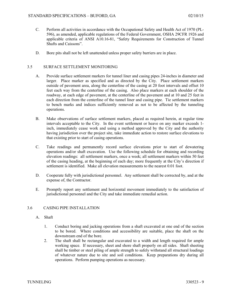- C. Perform all activities in accordance with the Occupational Safety and Health Act of 1970 (PL-596), as amended, applicable regulations of the Federal Government, OSHA 29CFR 1926 and applicable criteria of ANSI A10.16-81, "Safety Requirements for Construction of Tunnel Shafts and Caissons".
- D. Bore pits shall not be left unattended unless proper safety barriers are in place.

## 3.5 SURFACE SETTLEMENT MONITORING

- A. Provide surface settlement markers for tunnel liner and casing pipes 24-inches in diameter and larger. Place marker as specified and as directed by the City. Place settlement markers outside of pavement area, along the centerline of the casing at 20 foot intervals and offset 10 feet each way from the centerline of the casing. Also place markers at each shoulder of the roadway, at each edge of pavement, at the centerline of the pavement and at 10 and 25 feet in each direction from the centerline of the tunnel liner and casing pipe. Tie settlement markers to bench marks and indices sufficiently removed as not to be affected by the tunneling operations.
- B. Make observations of surface settlement markers, placed as required herein, at regular time intervals acceptable to the City. In the event settlement or heave on any marker exceeds 1 inch, immediately cease work and using a method approved by the City and the authority having jurisdiction over the project site, take immediate action to restore surface elevations to that existing prior to start of casing operations.
- C. Take readings and permanently record surface elevations prior to start of dewatering operations and/or shaft excavation. Use the following schedule for obtaining and recording elevation readings: all settlement markers, once a week; all settlement markers within 50 feet of the casing heading, at the beginning of each day; more frequently at the City's direction if settlement is identified. Make all elevation measurements to the nearest 0.01 foot.
- D. Cooperate fully with jurisdictional personnel. Any settlement shall be corrected by, and at the expense of, the Contractor.
- E. Promptly report any settlement and horizontal movement immediately to the satisfaction of jurisdictional personnel and the City and take immediate remedial action.

## 3.6 CASING PIPE INSTALLATION

- A. Shaft
	- 1. Conduct boring and jacking operations from a shaft excavated at one end of the section to be bored. Where conditions and accessibility are suitable, place the shaft on the downstream end of the bore.
	- 2. The shaft shall be rectangular and excavated to a width and length required for ample working space. If necessary, sheet and shore shaft properly on all sides. Shaft sheeting shall be timber or steel piling of ample strength to safely withstand all structural loadings of whatever nature due to site and soil conditions. Keep preparations dry during all operations. Perform pumping operations as necessary.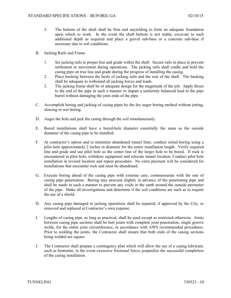- 3. The bottom of the shaft shall be firm and unyielding to form an adequate foundation upon which to work. In the event the shaft bottom is not stable, excavate to such additional depth as required and place a gravel sub-base or a concrete sub-base if necessary due to soil conditions.
- B. Jacking Rails and Frame
	- 1. Set jacking rails to proper line and grade within the shaft. Secure rails in place to prevent settlement or movement during operations. The jacking rails shall cradle and hold the casing pipe on true line and grade during the progress of installing the casing.
	- 2. Place backing between the heels of jacking rails and the rear of the shaft. The backing shall be adequate to withstand all jacking forces and loads.
	- 3. The jacking frame shall be of adequate design for the magnitude of the job. Apply thrust to the end of the pipe in such a manner to impart a uniformly balanced load to the pipe barrel without damaging the joint ends of the pipe.
- C. Accomplish boring and jacking of casing pipes by the dry auger boring method without jetting, sluicing or wet boring.
- D. Auger the hole and jack the casing through the soil simultaneously.
- E. Bored installations shall have a bored-hole diameter essentially the same as the outside diameter of the casing pipe to be installed.
- F. At contractor's option and to minimize abandoned tunnel liner, conduct initial boring using a pilot hole approximately 2 inches in diameter for the entire installation length. Verify required line and grade and use pilot hole as the center line of the larger hole to be bored. If rock is encountered in pilot hole, withdraw equipment and relocate tunnel location. Conduct pilot hole installation in revised location and repeat procedure. No extra payment will be considered for installations that encounter rock and must be abandoned.
- G. Execute boring ahead of the casing pipe with extreme care, commensurate with the rate of casing pipe penetration. Boring may proceed slightly in advance of the penetrating pipe and shall be made in such a manner to prevent any voids in the earth around the outside perimeter of the pipe. Make all investigations and determine if the soil conditions are such as to require the use of a shield.
- H. Any casing pipe damaged in jacking operations shall be repaired, if approved by the City, or removed and replaced at Contractor's own expense.
- I. Lengths of casing pipe, as long as practical, shall be used except as restricted otherwise. Joints between casing pipe sections shall be butt joints with complete joint penetration, single groove welds, for the entire joint circumference, in accordance with AWS recommended procedures. Prior to welding the joints, the Contractor shall ensure that both ends of the casing sections being welded are square.
- J. The Contractor shall prepare a contingency plan which will allow the use of a casing lubricant, such as bentonite, in the event excessive frictional forces jeopardize the successful completion of the casing installation.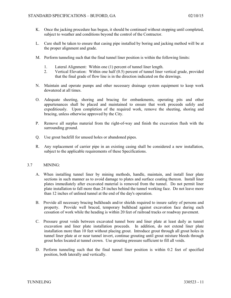- K. Once the jacking procedure has begun, it should be continued without stopping until completed, subject to weather and conditions beyond the control of the Contractor.
- L. Care shall be taken to ensure that casing pipe installed by boring and jacking method will be at the proper alignment and grade.
- M. Perform tunneling such that the final tunnel liner position is within the following limits:
	- 1. Lateral Alignment: Within one (1) percent of tunnel liner length.
	- 2. Vertical Elevation: Within one half (0.5) percent of tunnel liner vertical grade, provided that the final grade of flow line is in the direction indicated on the drawings.
- N. Maintain and operate pumps and other necessary drainage system equipment to keep work dewatered at all times.
- O. Adequate sheeting, shoring and bracing for embankments, operating pits and other appurtenances shall be placed and maintained to ensure that work proceeds safely and expeditiously. Upon completion of the required work, remove the sheeting, shoring and bracing, unless otherwise approved by the City.
- P. Remove all surplus material from the right-of-way and finish the excavation flush with the surrounding ground.
- Q. Use grout backfill for unused holes or abandoned pipes.
- R. Any replacement of carrier pipe in an existing casing shall be considered a new installation, subject to the applicable requirements of these Specifications.

## 3.7 MINING:

- A. When installing tunnel liner by mining methods, handle, maintain, and install liner plate sections in such manner as to avoid damage to plates and surface coating thereon. Install liner plates immediately after excavated material is removed from the tunnel. Do not permit liner plate installation to fall more than 24 inches behind the tunnel working face. Do not leave more than 12 inches of unlined tunnel at the end of the day's operation.
- B. Provide all necessary bracing bulkheads and/or shields required to insure safety of persons and property. Provide well braced, temporary bulkhead against excavation face during each cessation of work while the heading is within 20 feet of railroad tracks or roadway pavement.
- C. Pressure grout voids between excavated tunnel bore and liner plate at least daily as tunnel excavation and liner plate installation proceeds. In addition, do not extend liner plate installation more than 10 feet without placing grout. Introduce grout through all grout holes in tunnel liner plate at or near tunnel invert, continue grouting until grout mixture bleeds through grout holes located at tunnel crown. Use grouting pressure sufficient to fill all voids.
- D. Perform tunneling such that the final tunnel liner position is within 0.2 feet of specified position, both laterally and vertically.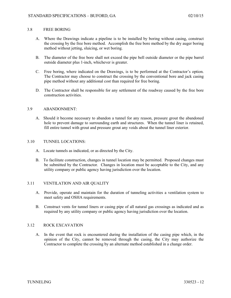#### 3.8 FREE BORING

- A. Where the Drawings indicate a pipeline is to be installed by boring without casing, construct the crossing by the free bore method. Accomplish the free bore method by the dry auger boring method without jetting, sluicing, or wet boring.
- B. The diameter of the free bore shall not exceed the pipe bell outside diameter or the pipe barrel outside diameter plus 1-inch, whichever is greater.
- C. Free boring, where indicated on the Drawings, is to be performed at the Contractor's option. The Contractor may choose to construct the crossing by the conventional bore and jack casing pipe method without any additional cost than required for free boring.
- D. The Contractor shall be responsible for any settlement of the roadway caused by the free bore construction activities.

#### 3.9 ABANDONMENT:

A. Should it become necessary to abandon a tunnel for any reason, pressure grout the abandoned hole to prevent damage to surrounding earth and structures. When the tunnel liner is retained, fill entire tunnel with grout and pressure grout any voids about the tunnel liner exterior.

#### 3.10 TUNNEL LOCATIONS:

- A. Locate tunnels as indicated, or as directed by the City.
- B. To facilitate construction, changes in tunnel location may be permitted. Proposed changes must be submitted by the Contractor. Changes in location must be acceptable to the City, and any utility company or public agency having jurisdiction over the location.

## 3.11 VENTILATION AND AIR QUALITY

- A. Provide, operate and maintain for the duration of tunneling activities a ventilation system to meet safety and OSHA requirements.
- B. Construct vents for tunnel liners or casing pipe of all natural gas crossings as indicated and as required by any utility company or public agency having jurisdiction over the location.

#### 3.12 ROCK EXCAVATION

A. In the event that rock is encountered during the installation of the casing pipe which, in the opinion of the City, cannot be removed through the casing, the City may authorize the Contractor to complete the crossing by an alternate method established in a change order.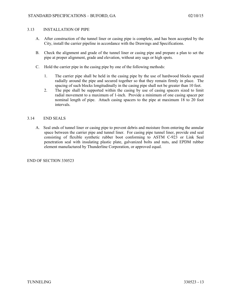## 3.13 INSTALLATION OF PIPE

- A. After construction of the tunnel liner or casing pipe is complete, and has been accepted by the City, install the carrier pipeline in accordance with the Drawings and Specifications.
- B. Check the alignment and grade of the tunnel liner or casing pipe and prepare a plan to set the pipe at proper alignment, grade and elevation, without any sags or high spots.
- C. Hold the carrier pipe in the casing pipe by one of the following methods:
	- 1. The carrier pipe shall be held in the casing pipe by the use of hardwood blocks spaced radially around the pipe and secured together so that they remain firmly in place. The spacing of such blocks longitudinally in the casing pipe shall not be greater than 10 feet.
	- 2. The pipe shall be supported within the casing by use of casing spacers sized to limit radial movement to a maximum of 1-inch. Provide a minimum of one casing spacer per nominal length of pipe. Attach casing spacers to the pipe at maximum 18 to 20 foot intervals.

## 3.14 END SEALS

A. Seal ends of tunnel liner or casing pipe to prevent debris and moisture from entering the annular space between the carrier pipe and tunnel liner. For casing pipe tunnel liner, provide end seal consisting of flexible synthetic rubber boot conforming to ASTM C-923 or Link Seal penetration seal with insulating plastic plate, galvanized bolts and nuts, and EPDM rubber element manufactured by Thunderline Corporation, or approved equal.

## END OF SECTION 330523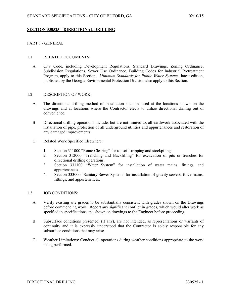## **SECTION 330525 – DIRECTIONAL DRILLING**

## PART 1 - GENERAL

## 1.1 RELATED DOCUMENTS:

A. City Code, including Development Regulations, Standard Drawings, Zoning Ordinance, Subdivision Regulations, Sewer Use Ordinance, Building Codes for Industrial Pretreatment Program, apply to this Section. *Minimum Standards for Public Water Systems*, latest edition, published by the Georgia Environmental Protection Division also apply to this Section.

#### 1.2 DESCRIPTION OF WORK:

- A. The directional drilling method of installation shall be used at the locations shown on the drawings and at locations where the Contractor elects to utilize directional drilling out of convenience.
- B. Directional drilling operations include, but are not limited to, all earthwork associated with the installation of pipe, protection of all underground utilities and appurtenances and restoration of any damaged improvements.
- C. Related Work Specified Elsewhere:
	- 1. Section 311000 "Route Clearing" for topsoil stripping and stockpiling.
	- 2. Section 312000 "Trenching and Backfilling" for excavation of pits or trenches for directional drilling operations.
	- 3. Section 331100 "Water System" for installation of water mains, fittings, and appurtenances.
	- 4. Section 333000 "Sanitary Sewer System" for installation of gravity sewers, force mains, fittings, and appurtenances.

#### 1.3 JOB CONDITIONS:

- A. Verify existing site grades to be substantially consistent with grades shown on the Drawings before commencing work. Report any significant conflict in grades, which would alter work as specified in specifications and shown on drawings to the Engineer before proceeding.
- B. Subsurface conditions presented, (if any), are not intended, as representations or warrants of continuity and it is expressly understood that the Contractor is solely responsible for any subsurface conditions that may arise.
- C. Weather Limitations: Conduct all operations during weather conditions appropriate to the work being performed.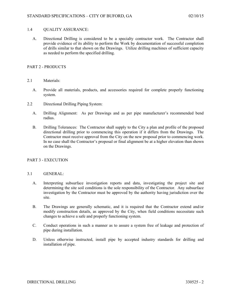## 1.4 QUALITY ASSURANCE:

A. Directional Drilling is considered to be a specialty contractor work. The Contractor shall provide evidence of its ability to perform the Work by documentation of successful completion of drills similar to that shown on the Drawings. Utilize drilling machines of sufficient capacity as needed to perform the specified drilling.

## PART 2 - PRODUCTS

- 2.1 Materials:
	- A. Provide all materials, products, and accessories required for complete properly functioning system.
- 2.2 Directional Drilling Piping System:
	- A. Drilling Alignment: As per Drawings and as per pipe manufacturer's recommended bend radius.
	- B. Drilling Tolerances: The Contractor shall supply to the City a plan and profile of the proposed directional drilling prior to commencing this operation if it differs from the Drawings. The Contractor must receive approval from the City on the new proposal prior to commencing work. In no case shall the Contractor's proposal or final alignment be at a higher elevation than shown on the Drawings.

## PART 3 - EXECUTION

## 3.1 GENERAL:

- A. Interpreting subsurface investigation reports and data, investigating the project site and determining the site soil conditions is the sole responsibility of the Contractor. Any subsurface investigation by the Contractor must be approved by the authority having jurisdiction over the site.
- B. The Drawings are generally schematic, and it is required that the Contractor extend and/or modify construction details, as approved by the City, when field conditions necessitate such changes to achieve a safe and properly functioning system.
- C. Conduct operations in such a manner as to assure a system free of leakage and protection of pipe during installation.
- D. Unless otherwise instructed, install pipe by accepted industry standards for drilling and installation of pipe.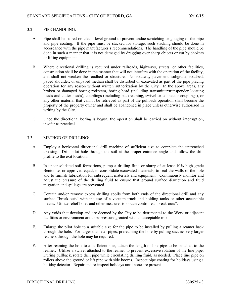### 3.2 PIPE HANDLING:

- A. Pipe shall be stored on clean, level ground to prevent undue scratching or gouging of the pipe and pipe coating. If the pipe must be stacked for storage, such stacking should be done in accordance with the pipe manufacturer's recommendations. The handling of the pipe should be done in such a manner that it is not damaged by dragging over sharp objects or cut by chokers or lifting equipment.
- B. Where directional drilling is required under railroads, highways, streets, or other facilities, construction shall be done in the manner that will not interfere with the operation of the facility, and shall not weaken the roadbed or structure. No roadway pavement, subgrade, roadbed, paved shoulder, or unpaved median shall be disturbed or excavated as part of the pipe placing operation for any reason without written authorization by the City. In the above areas, any broken or damaged boring rod/stem, boring head (including transmitter/transponder locating heads and cutter heads), couplings (including backreaming, swivel or connector couplings), or any other material that cannot be retrieved as part of the pullback operation shall become the property of the property owner and shall be abandoned in place unless otherwise authorized in writing by the City.
- C. Once the directional boring is begun, the operation shall be carried on without interruption, insofar as practical.

### 3.3 METHOD OF DRILLING:

- A. Employ a horizontal directional drill machine of sufficient size to complete the untrenched crossing. Drill pilot hole through the soil at the proper entrance angle and follow the drill profile to the exit location.
- B. In unconsolidated soil formations, pump a drilling fluid or slurry of at least 10% high grade Bentonite, or approved equal, to consolidate excavated materials, to seal the walls of the hole and to furnish lubrication for subsequent materials and equipment. Continuously monitor and adjust the pressure of the drilling fluid to ensure that ground surface disruption and fluid migration and spillage are prevented.
- C. Contain and/or remove excess drilling spoils from both ends of the directional drill and any surface "break-outs" with the use of a vacuum truck and holding tanks or other acceptable means. Utilize relief holes and other measures to obtain controlled "break-outs".
- D. Any voids that develop and are deemed by the City to be detrimental to the Work or adjacent facilities or environment are to be pressure grouted with an acceptable mix.
- E. Enlarge the pilot hole to a suitable size for the pipe to be installed by pulling a reamer back through the hole. For larger diameter pipes, prereaming the hole by pulling successively larger reamers through the hole may be required.
- F. After reaming the hole to a sufficient size, attach the length of line pipe to be installed to the reamer. Utilize a swivel attached to the reamer to prevent excessive rotation of the line pipe. During pullback, rotate drill pipe while circulating drilling fluid, as needed. Place line pipe on rollers above the ground or lift pipe with side booms. Inspect pipe coating for holidays using a holiday detector. Repair and re-inspect holidays until none are present.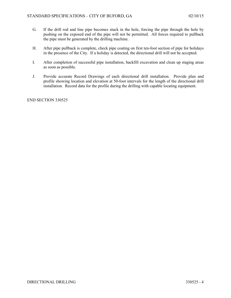- G. If the drill rod and line pipe becomes stuck in the hole, forcing the pipe through the hole by pushing on the exposed end of the pipe will not be permitted. All forces required to pullback the pipe must be generated by the drilling machine.
- H. After pipe pullback is complete, check pipe coating on first ten-foot section of pipe for holidays in the presence of the City. If a holiday is detected, the directional drill will not be accepted.
- I. After completion of successful pipe installation, backfill excavation and clean up staging areas as soon as possible.
- J. Provide accurate Record Drawings of each directional drill installation. Provide plan and profile showing location and elevation at 50-foot intervals for the length of the directional drill installation. Record data for the profile during the drilling with capable locating equipment.

END SECTION 330525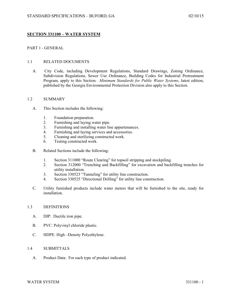# **SECTION 331100 – WATER SYSTEM**

## PART 1 - GENERAL

### 1.1 RELATED DOCUMENTS

A. City Code, including Development Regulations, Standard Drawings, Zoning Ordinance, Subdivision Regulations, Sewer Use Ordinance, Building Codes for Industrial Pretreatment Program, apply to this Section. *Minimum Standards for Public Water Systems*, latest edition, published by the Georgia Environmental Protection Division also apply to this Section.

#### 1.2 SUMMARY

- A. This Section includes the following:
	- 1. Foundation preparation.
	- 2. Furnishing and laying water pipe.
	- 3. Furnishing and installing water line appurtenances.
	- 4. Furnishing and laying services and accessories.
	- 5. Cleaning and sterilizing constructed work.
	- 6. Testing constructed work.
- B. Related Sections include the following:
	- 1. Section 311000 "Route Clearing" for topsoil stripping and stockpiling.
	- 2. Section 312000 "Trenching and Backfilling" for excavation and backfilling trenches for utility installation.
	- 3. Section 330523 "Tunneling" for utility line construction.
	- 4. Section 330525 "Directional Drilling" for utility line construction.
- C. Utility furnished products include water meters that will be furnished to the site, ready for installation.

### 1.3 DEFINITIONS

- A. DIP: Ductile iron pipe.
- B. PVC: Polyvinyl chloride plastic.
- C. HDPE: High –Density Polyethylene.

### 1.4 SUBMITTALS

A. Product Data: For each type of product indicated.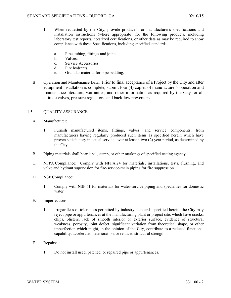- 1. When requested by the City, provide producer's or manufacturer's specifications and installation instructions (where appropriate) for the following products, including laboratory test reports, notarized certifications, or other data as may be required to show compliance with these Specifications, including specified standards:
	- a. Pipe, tubing, fittings and joints.
	- b. Valves.
	- c. Service Accessories.
	- d. Fire hydrants.
	- e. Granular material for pipe bedding.
- B. Operation and Maintenance Data: Prior to final acceptance of a Project by the City and after equipment installation is complete, submit four (4) copies of manufacturer's operation and maintenance literature, warranties, and other information as required by the City for all altitude valves, pressure regulators, and backflow preventers.

## 1.5 QUALITY ASSURANCE

- A. Manufacturer:
	- 1. Furnish manufactured items, fittings, valves, and service components, from manufacturers having regularly produced such items as specified herein which have proven satisfactory in actual service, over at least a two (2) year period, as determined by the City.
- B. Piping materials shall bear label, stamp, or other markings of specified testing agency.
- C. NFPA Compliance: Comply with NFPA 24 for materials, installations, tests, flushing, and valve and hydrant supervision for fire-service-main piping for fire suppression.
- D. NSF Compliance:
	- 1. Comply with NSF 61 for materials for water-service piping and specialties for domestic water.
- E. Imperfections:
	- 1. Irregardless of tolerances permitted by industry standards specified herein, the City may reject pipe or appurtenances at the manufacturing plant or project site, which have cracks, chips, blisters, lack of smooth interior or exterior surface, evidence of structural weakness, porosity, joint defect, significant variation from theoretical shape, or other imperfection which might, in the opinion of the City, contribute to a reduced functional capability, accelerated deterioration, or reduced structural strength.
- F. Repairs:
	- 1. Do not install used, patched, or repaired pipe or appurtenances.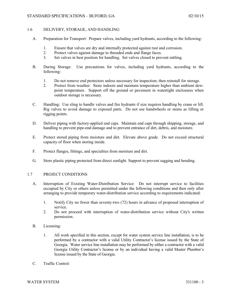## 1.6 DELIVERY, STORAGE, AND HANDLING

- A. Preparation for Transport: Prepare valves, including yard hydrants, according to the following:
	- 1. Ensure that valves are dry and internally protected against rust and corrosion.
	- 2. Protect valves against damage to threaded ends and flange faces.
	- 3. Set valves in best position for handling. Set valves closed to prevent rattling.
- B. During Storage: Use precautions for valves, including yard hydrants, according to the following:
	- 1. Do not remove end protectors unless necessary for inspection; then reinstall for storage.
	- 2. Protect from weather. Store indoors and maintain temperature higher than ambient dewpoint temperature. Support off the ground or pavement in watertight enclosures when outdoor storage is necessary.
- C. Handling: Use sling to handle valves and fire hydrants if size requires handling by crane or lift. Rig valves to avoid damage to exposed parts. Do not use handwheels or stems as lifting or rigging points.
- D. Deliver piping with factory-applied end caps. Maintain end caps through shipping, storage, and handling to prevent pipe-end damage and to prevent entrance of dirt, debris, and moisture.
- E. Protect stored piping from moisture and dirt. Elevate above grade. Do not exceed structural capacity of floor when storing inside.
- F. Protect flanges, fittings, and specialties from moisture and dirt.
- G. Store plastic piping protected from direct sunlight. Support to prevent sagging and bending.

## 1.7 PROJECT CONDITIONS

- A. Interruption of Existing Water-Distribution Service: Do not interrupt service to facilities occupied by City or others unless permitted under the following conditions and then only after arranging to provide temporary water-distribution service according to requirements indicated:
	- 1. Notify City no fewer than seventy-two (72) hours in advance of proposed interruption of service.
	- 2. Do not proceed with interruption of water-distribution service without City's written permission.
- B. Licensing:
	- 1. All work specified in this section, except for water system service line installation, is to be performed by a contractor with a valid Utility Contractor's license issued by the State of Georgia. Water service line installation may be performed by either a contractor with a valid Georgia Utility Contractor's license or by an individual having a valid Master Plumber's license issued by the State of Georgia.
- C. Traffic Control: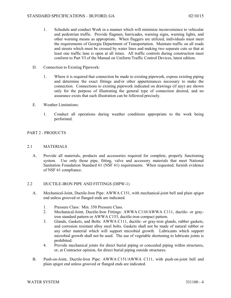- 1. Schedule and conduct Work in a manner which will minimize inconvenience to vehicular and pedestrian traffic. Provide flagmen, barricades, warning signs, warning lights, and other warning means as appropriate. When flaggers are utilized, individuals must meet the requirements of Georgia Department of Transportation. Maintain traffic on all roads and streets which must be crossed by water lines and making two separate cuts so that at least one traffic lane is open at all times. All traffic controls during construction must conform to Part VI of the Manual on Uniform Traffic Control Devices, latest edition.
- D. Connection to Existing Pipework:
	- 1. Where it is required that connection be made to existing pipework, expose existing piping and determine the exact fittings and/or other appurtenances necessary to make the connection. Connections to existing pipework indicated on drawings (if any) are shown only for the purpose of illustrating the general type of connection desired, and no assurance exists that such illustration can be followed precisely.
- E. Weather Limitations:
	- 1. Conduct all operations during weather conditions appropriate to the work being performed.

## PART 2 - PRODUCTS

## 2.1 MATERIALS

A. Provide all materials, products and accessories required for complete, properly functioning system. Use only those pipe, fitting, valve and accessory materials that meet National Sanitation Foundation Standard 61 (NSF 61) requirements. When requested, furnish evidence of NSF 61 compliance.

## 2.2 DUCTILE-IRON PIPE AND FITTINGS (DIPW-1)

- A. Mechanical-Joint, Ductile-Iron Pipe: AWWA C151, with mechanical-joint bell and plain spigot end unless grooved or flanged ends are indicated.
	- 1. Pressure Class: Min. 350 Pressure Class.
	- 2. Mechanical-Joint, Ductile-Iron Fittings: AWWA C110/AWWA C111, ductile- or grayiron standard pattern or AWWA C153, ductile-iron compact pattern.
	- 3. Glands, Gaskets, and Bolts: AWWA C111, ductile- or gray-iron glands, rubber gaskets, and corrosion resistant alloy steel bolts. Gaskets shall not be made of natural rubber or any other material which will support microbial growth. Lubricants which support microbial growth shall not be used. The use of vegetable shortening to lubricate joints is prohibited.
	- 4. Provide mechanical joints for direct burial piping or concealed piping within structures, or, at Contractor opinion, for direct burial piping outside structures.
- B. Push-on-Joint, Ductile-Iron Pipe: AWWA C151/AWWA C111, with push-on-joint bell and plain spigot end unless grooved or flanged ends are indicated.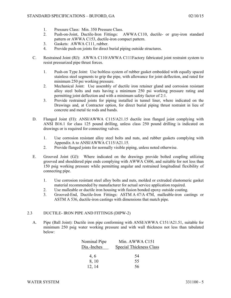- 1. Pressure Class: Min. 350 Pressure Class.
- 2. Push-on-Joint, Ductile-Iron Fittings: AWWA C110, ductile- or gray-iron standard pattern or AWWA C153, ductile-iron compact pattern.
- 3. Gaskets: AWWA C111, rubber.
- 4. Provide push-on joints for direct burial piping outside structures.
- C. Restrained Joint (RJ): AWWA C110/AWWA C111Factory fabricated joint restraint system to resist pressurized pipe thrust forces.
	- 1. Push-on Type Joint: Use boltless system of rubber gasket embedded with equally spaced stainless steel segments to grip the pipe, with allowance for joint deflection, and rated for minimum 250 psi working pressure.
	- 2. Mechanical Joint: Use assembly of ductile iron retainer gland and corrosion resistant alloy steel bolts and nuts having a minimum 250 psi working pressure rating and permitting joint deflection and with a minimum safety factor of 2:1.
	- 3. Provide restrained joints for piping installed in tunnel liner, where indicated on the Drawings and, at Contractor option, for direct burial piping thrust restraint in lieu of concrete and metal tie rods and bands.
- D. Flanged Joint (FJ): ANSI/AWWA C115/A21.15 ductile iron flanged joint complying with ANSI B16.1 for class 125 pound drilling, unless class 250 pound drilling is indicated on drawings or is required for connecting valves.
	- 1. Use corrosion resistant alloy steel bolts and nuts, and rubber gaskets complying with Appendix A to ANSI/AWWA C115/A21.15.
	- 2. Provide flanged joints for normally visible piping, unless noted otherwise.
- E. Grooved Joint (GJ): Where indicated on the drawings provide bolted coupling utilizing grooved and shouldered pipe ends complying with AWWA C606, and suitable for not less than 150 psig working pressure while permitting angular and restrained longitudinal flexibility of connecting pipe.
	- 1. Use corrosion resistant steel alloy bolts and nuts, molded or extruded elastomeric gasket material recommended by manufacturer for actual service application required.
	- 2. Use malleable or ductile iron housing with fusion bonded epoxy outside coating.
	- 3. Grooved-End, Ductile-Iron Fittings: ASTM A 47/A 47M, malleable-iron castings or ASTM A 536, ductile-iron castings with dimensions that match pipe.

# 2.3 DUCTILE- IRON PIPE AND FITTINGS (DIPW-2)

A. Pipe (Ball Joint): Ductile iron pipe conforming with ANSI/AWWA C151/A21.51, suitable for minimum 250 psig water working pressure and with wall thickness not less than tabulated below:

| Nominal Pipe | Min. AWWA C151                 |  |  |
|--------------|--------------------------------|--|--|
| Dia.-Inches  | <b>Special Thickness Class</b> |  |  |
|              |                                |  |  |
| 4, 6         | 54                             |  |  |
| 8, 10        | 55                             |  |  |
| 12, 14       | 56                             |  |  |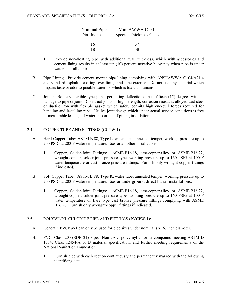| Nominal Pipe | Min. AWWA C151                 |  |
|--------------|--------------------------------|--|
| Dia.-Inches  | <b>Special Thickness Class</b> |  |
| 16           | 57                             |  |
| 18           | 58                             |  |

- 1. Provide non-floating pipe with additional wall thickness, which with accessories and cement lining results in at least ten (10) percent negative buoyancy when pipe is under water and full of air.
- B. Pipe Lining: Provide cement mortar pipe lining complying with ANSI/AWWA C104/A21.4 and standard asphaltic coating over lining and pipe exterior. Do not use any material which imparts taste or odor to potable water, or which is toxic to humans.
- C. Joints: Boltless, flexible type joints permitting deflections up to fifteen (15) degrees without damage to pipe or joint. Construct joints of high strength, corrosion resistant, alloyed cast steel or ductile iron with flexible gasket which safely permits high end-pull forces required for handling and installing pipe. Utilize joint design which under actual service conditions is free of measurable leakage of water into or out of piping installation.

## 2.4 COPPER TUBE AND FITTINGS (CUTW-1)

- A. Hard Copper Tube: ASTM B 88, Type L, water tube, annealed temper, working pressure up to 200 PSIG at 200°F water temperature. Use for all other installations.
	- 1. Copper, Solder-Joint Fittings: ASME B16.18, cast-copper-alloy or ASME B16.22, wrought-copper, solder-joint pressure type, working pressure up to 160 PSIG at 100°F water temperature or cast bronze pressure fittings. Furnish only wrought-copper fittings if indicated.
- B. Soft Copper Tube: ASTM B 88, Type K, water tube, annealed temper, working pressure up to 200 PSIG at 200°F water temperature. Use for underground direct burial installations.
	- 1. Copper, Solder-Joint Fittings: ASME B16.18, cast-copper-alloy or ASME B16.22, wrought-copper, solder-joint pressure type, working pressure up to 160 PSIG at 100°F water temperature or flare type cast bronze pressure fittings complying with ASME B16.26. Furnish only wrought-copper fittings if indicated.

#### 2.5 POLYVINYL CHLORIDE PIPE AND FITTINGS (PVCPW-1):

- A. General: PVCPW-1 can only be used for pipe sizes under nominal six (6) inch diameter.
- B. PVC, Class 200 (SDR 21) Pipe: Non-toxic, polyvinyl chloride compound meeting ASTM D 1784, Class 12454-A or B material specification, and further meeting requirements of the National Sanitation Foundation.
	- 1. Furnish pipe with each section continuously and permanently marked with the following identifying data: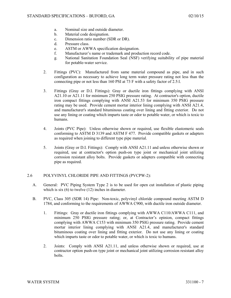- a. Nominal size and outside diameter.
- b. Material code designation.
- c. Dimension ratio number (SDR or DR).
- d. Pressure class.
- e. ASTM or AWWA specification designation.
- f. Manufacturer's name or trademark and production record code.
- g. National Sanitation Foundation Seal (NSF) verifying suitability of pipe material for potable-water service.
- 2. Fittings (PVC): Manufactured from same material compound as pipe, and in such configuration as necessary to achieve long term water pressure rating not less than the connecting pipe or not less than 160 PSI at 73 F with a safety factor of 2.5:l.
- 3. Fittings (Gray or D.I. Fittings): Gray or ductile iron fittings complying with ANSI A21.10 or A21.11 for minimum 250 PSIG pressure rating. At contractor's option, ductile iron compact fittings complying with ANSI A21.53 for minimum 350 PSIG pressure rating may be used. Provide cement mortar interior lining complying with ANSI A21.4, and manufacturer's standard bituminous coating over lining and fitting exterior. Do not use any lining or coating which imparts taste or odor to potable water, or which is toxic to humans.
- 4. Joints (PVC Pipe): Unless otherwise shown or required, use flexible elastomeric seals conforming to ASTM D 3139 and ASTM F 477. Provide compatible gaskets or adapters as required when joining to different type pipe material.
- 5. Joints (Gray or D.I. Fittings): Comply with ANSI A21.11 and unless otherwise shown or required, use at contractor's option push-on type joint or mechanical joint utilizing corrosion resistant alloy bolts. Provide gaskets or adapters compatible with connecting pipe as required.

## 2.6 POLYVINYL CHLORIDE PIPE AND FITTINGS (PVCPW-2):

- A. General: PVC Piping System Type 2 is to be used for open cut installation of plastic piping which is six (6) to twelve (12) inches in diameter.
- B. PVC, Class 305 (SDR 14) Pipe: Non-toxic, polyvinyl chloride compound meeting ASTM D 1784, and conforming to the requirements of AWWA C900, with ductile iron outside diameter.
	- 1. Fittings: Gray or ductile iron fittings complying with AWWA C110/AWWA C111, and minimum 250 PSIG pressure rating; or, at Contractor's opinion, compact fittings complying with AWWA C153 with minimum 350 PSIG pressure rating. Provide cement mortar interior lining complying with ANSI A21.4, and manufacturer's standard bituminous coating over lining and fitting exterior. Do not use any lining or coating which imparts taste or odor to potable water, or which is toxic to humans.
	- 2. Joints: Comply with ANSI A21.11, and unless otherwise shown or required, use at contractor option push-on type joint or mechanical joint utilizing corrosion resistant alloy bolts.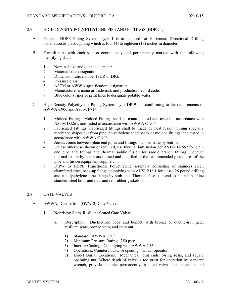## 2.7 HIGH-DENSITY POLYETHYLENE PIPE AND FITTINGS (HDPE-1)

- A. General: HDPE Piping System Type 1 is to be used for Horizontal Directional Drilling installation of plastic piping which is four (4) to eighteen (18) inches in diameter.
- B. Furnish pipe with each section continuously and permanently marked with the following identifying data:
	- 1. Nominal size and outside diameter.
	- 2. Material code designation.
	- 3. Dimension ratio number (SDR or DR).
	- 4. Pressure class.
	- 5. ASTM or AWWA specification designation.
	- 6. Manufacturer's name or trademark and production record code.
	- 7. Blue color stripes or print lines to designate potable water.
- C. High Density Polyethylene Piping System Type DR-9 and conforming to the requirements of AWWA C906 and ASTM F714.
	- 1. Molded Fittings: Molded Fittings shall be manufactured and tested in accordance with ASTM D3261, and tested in accordance with AWWA C-906.
	- 2. Fabricated Fittings: Fabricated fittings shall be made by heat fusion joining specially machined shapes cut from pipe, polyethylene sheet stock or molded fittings, and tested in accordance with AWWA C-906.
	- 3. Joints: Joints between plain end pipes and fittings shall be made by butt fusion.
	- 4. Unless otherwise shown or required, use thermal butt fusion per ASTM D2657 for plain end pipe and fittings and thermal saddle fusion for saddle branch fittings. Conduct thermal fusion by operators trained and qualified in the recommended procedures of the pipe and fusion equipment supplier.
	- 5. DIPW to HDPE Transitions: Polyethylene assembly consisting of stainless steel, chamfered edge, back-up flange complying with ANSI B16.1 for class 125 pound drilling and a polyethylene pipe flange by stub end. Thermal fuse stub-end to plain pipe. Use stainless steel bolts and nuts and red rubber gaskets.

#### 2.8 GATE VALVES

- A. AWWA, Ductile Iron (GVW-2) Gate Valves
	- 1. Nonrising-Stem, Resilient-Seated Gate Valves:
		- a. Description: Ductile-iron body and bonnet; with bronze or ductile-iron gate, resilient seats, bronze stem, and stem nut.
			- 1) Standard: AWWA C509.
			- 2) Minimum Pressure Rating: 250 psig.
			- 3) Interior Coating: Complying with AWWA C550.
			- 4) Operations: Counterclockwise opening, manual operator.
			- 5) Direct Burial Locations: Mechanical joint ends, o-ring seals, and square operating nut. Where depth of valve is too great for operation by standard wrench, provide suitable, permanently installed valve stem extension and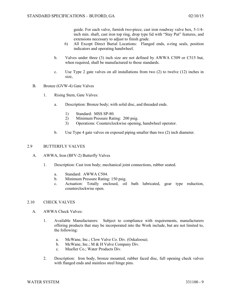guide. For each valve, furnish two-piece, cast iron roadway valve box, 5-1/4 inch min. shaft, cast iron top ring, drop type lid with "Stay Put" features, and extensions necessary to adjust to finish grade.

- 6) All Except Direct Burial Locations: Flanged ends, o-ring seals, position indicators and operating handwheel.
- b. Valves under three (3) inch size are not defined by AWWA C509 or C515 but, when required, shall be manufactured to those standards.
- c. Use Type 2 gate valves on all installations from two (2) to twelve (12) inches in size,
- B. Bronze (GVW-4) Gate Valves
	- 1. Rising Stem, Gate Valves:
		- a. Description: Bronze body; with solid disc, and threaded ends.
			- 1) Standard: MSS SP-80.
			- 2) Minimum Pressure Rating: 200 psig.
			- 3) Operations: Counterclockwise opening, handwheel operator.
		- b. Use Type 4 gate valves on exposed piping smaller than two (2) inch diameter.

#### 2.9 BUTTERFLY VALVES

- A. AWWA, Iron (BFV-2) Butterfly Valves
	- 1. Description: Cast iron body; mechanical joint connections, rubber seated.
		- a. Standard: AWWA C504.
		- b. Minimum Pressure Rating: 150 psig.
		- c. Actuation: Totally enclosed, oil bath lubricated, gear type reduction, counterclockwise open.

### 2.10 CHECK VALVES

- A. AWWA Check Valves:
	- 1. Available Manufacturers: Subject to compliance with requirements, manufacturers offering products that may be incorporated into the Work include, but are not limited to, the following:
		- a. McWane, Inc.; Clow Valve Co. Div. (Oskaloosa).
		- b. McWane, Inc.; M & H Valve Company Div.
		- c. Mueller Co.; Water Products Div.
	- 2. Description: Iron body, bronze mounted, rubber faced disc, full opening check valves with flanged ends and stainless steel hinge pins.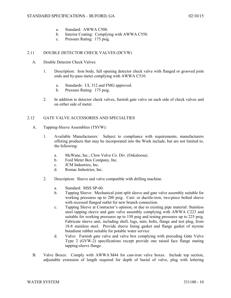- a. Standard: AWWA C508.
- b. Interior Coating: Complying with AWWA C550.
- c. Pressure Rating: 175 psig.

## 2.11 DOUBLE DETECTOR CHECK VALVES (DCVW)

- A. Double Detector Check Valves:
	- 1. Description: Iron body, full opening detector check valve with flanged or grooved joint ends and by-pass meter complying with AWWA C510.
		- a. Standards: UL 312 and FMG approved.
		- b. Pressure Rating: 175 psig.
	- 2. In addition to detector check valves, furnish gate valve on each side of check valves and on either side of meter.

## 2.12 GATE VALVE ACCESSORIES AND SPECIALTIES

- A. Tapping-Sleeve Assemblies (TSVW):
	- 1. Available Manufacturers: Subject to compliance with requirements, manufacturers offering products that may be incorporated into the Work include, but are not limited to, the following:
		- a. McWane, Inc.; Clow Valve Co. Div. (Oskaloosa).
		- b. Ford Meter Box Company, Inc.
		- c. JCM Industries, Inc.
		- d. Romac Industries, Inc.
	- 2. Description: Sleeve and valve compatible with drilling machine.
		- a. Standard: MSS SP-60.
		- b. Tapping Sleeve: Mechanical joint split sleeve and gate valve assembly suitable for working pressures up to 200 psig. Cast- or ductile-iron, two-piece bolted sleeve with recessed flanged outlet for new branch connection.
		- c. Tapping Sleeve at Contractor's opinion, or due to existing pipe material: Stainless steel tapping sleeve and gate valve assembly complying with AWWA C223 and suitable for working pressures up to 150 psig and testing pressures up to 225 psig. Fabricate sleeve unit, including shell, lugs, nuts, bolts, flange and test plug, from 18-8 stainless steel. Provide sleeve lining gasket and flange gasket of styrene butadiene rubber suitable for potable water service
		- d. Valve: Furnish gate valve and valve box complying with preceding Gate Valve Type 2 (GVW-2) specifications except provide one raised face flange mating tapping-sleeve flange.
- B. Valve Boxes: Comply with AWWA M44 for cast-iron valve boxes. Include top section, adjustable extension of length required for depth of burial of valve, plug with lettering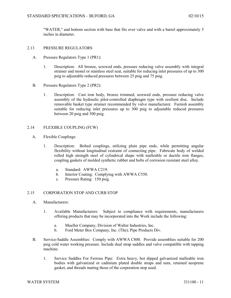"WATER," and bottom section with base that fits over valve and with a barrel approximately 5 inches in diameter.

### 2.13 PRESSURE REGULATORS

- A. Pressure Regulators Type 1 (PR1):
	- 1. Description: All bronze, screwed ends, pressure reducing valve assembly with integral strainer and monel or stainless steel seat, suitable for reducing inlet pressures of up to 300 psig to adjustable reduced pressures between 25 psig and 75 psig.
- B. Pressure Regulators Type 2 (PR2):
	- 1. Description: Cast iron body, bronze trimmed, screwed ends, pressure reducing valve assembly of the hydraulic pilot-controlled diaphragm type with resilient disc. Include removable basket type strainer recommended by valve manufacturer. Furnish assembly suitable for reducing inlet pressures up to 300 psig to adjustable reduced pressures between 20 psig and 300 psig.

### 2.14 FLEXIBLE COUPLING (FCW)

- A. Flexible Couplings:
	- 1. Description: Bolted couplings, utilizing plain pipe ends, while permitting angular flexibility without longitudinal restraint of connecting pipe. Fabricate body of welded rolled high strength steel of cylindrical shape with malleable or ductile iron flanges, coupling gaskets of molded synthetic rubber and bolts of corrosion resistant steel alloy.
		- a. Standard: AWWA C219.
		- b. Interior Coating: Complying with AWWA C550.
		- c. Pressure Rating: 150 psig.

#### 2.15 CORPORATION STOP AND CURB STOP

- A. Manufacturers:
	- 1. Available Manufacturers: Subject to compliance with requirements, manufacturers offering products that may be incorporated into the Work include the following:
		- a. Mueller Company, Division of Walter Industries, Inc.
		- b. Ford Meter Box Company, Inc. (The); Pipe Products Div.
- B. Service-Saddle Assemblies: Comply with AWWA C800. Provide assemblies suitable for 200 psig cold water working pressure. Include dual strap saddles and valve compatible with tapping machine.
	- 1. Service Saddles For Ferrous Pipe: Extra heavy, hot dipped galvanized malleable iron bodies with galvanized or cadmium plated double straps and nuts, retained neoprene gasket, and threads mating those of the corporation stop used.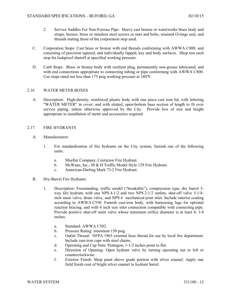- 2. Service Saddles For Non-Ferrous Pipe: Heavy cast bronze or waterworks brass body and straps, bronze, brass or stainless steel screws or nuts and bolts, retained O-rings seal, and threads mating those of the corporation stop used.
- C. Corporation Stops: Cast brass or bronze with end threads conforming with AWWA C800, and consisting of precision tapered, and individually lapped, key and body surfaces. Shop test each stop for leakproof shutoff at specified working pressure.
- D. Curb Stops: Brass or bronze body with resilient plug, permanently non-grease lubricated, and with end connections appropriate to connecting tubing or pipe conforming with AWWA C800. Use stops rated not less than 175 psig working pressure at 180ºF.

## 2.16 WATER METER BOXES

A. Description: High-density, reinforced plastic body with one piece cast iron lid, with lettering "WATER METER" in cover; and with slotted, open-bottom base section of length to fit over service piping, unless otherwise approved by the City. Provide box of size and height appropriate to installation of meter and accessories required.

## 2.17 FIRE HYDRANTS

- A. Manufacturers:
	- 1. For standardization of fire hydrants on the City system, furnish one of the following units:
		- a. Mueller Company, Centurion Fire Hydrant.
		- b. McWane, Inc.; M & H Traffic Model Style 129 Fire Hydrant.
		- c. American-Darling Mark 73-2 Fire Hydrant.
- B. Dry-Barrel Fire Hydrants:
	- 1. Description: Freestanding, traffic model ("breakable"), compression type, dry barrel 3 way fire hydrant, with one NPS 4-1/2 and two NPS 2-1/2 outlets, shut-off valve 5-1/4 inch main valve, drain valve, and NPS 6 mechanical-joint inlet. Include interior coating according to AWWA C550. Furnish cast-iron body, with harnessing lugs for optional reaction bracing, and with 6 inch size inlet connection compatible with connecting pipe. Provide positive shut-off main valve whose minimum orifice diameter is at least 4- 1/4 inches.
		- a. Standard: AWWA C502.
		- b. Pressure Rating: minimum 150 psig.
		- c. Outlet Thread: NFPA 1963 external hose thread for use by local fire department. Include cast-iron caps with steel chains.
		- d. Operating and Cap Nuts: Pentagon, 1-1/2 inches point to flat.
		- e. Direction of Opening: Open hydrant valve by turning operating nut to left or counterclockwise.
		- f. Exterior Finish: Shop paint above grade portion with silver enamel. Apply one field finish coat of bright silver enamel to hydrant barrel.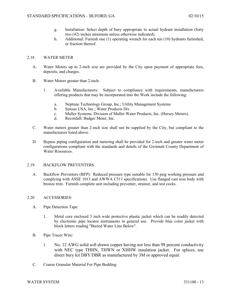- g. Installation: Select depth of bury appropriate to actual hydrant installation (forty two (42) inches minimum unless otherwise indicated).
- h. Additional: Furnish one (1) operating wrench for each ten (10) hydrants furnished, or fraction thereof.

### 2.18 WATER METER

- A. Water Meters up to 2-inch size are provided by the City upon payment of appropriate fees, deposits, and charges.
- B. Water Meters greater than 2-inch:
	- 1. Available Manufacturers: Subject to compliance with requirements, manufacturers offering products that may be incorporated into the Work include the following:
		- a. Neptune Technology Group, Inc.; Utility Management Systems
		- b. Sensus USA, Inc.; Water Products Div.
		- c. Muller Systems; Division of Muller Water Products, Inc. (Hersey Meters).
		- d. Recordall; Badger Meter, Inc.
- C. Water meters greater than 2-inch size shall not be supplied by the City, but compliant to the manufacturers listed above.
- D. Bypass piping configuration and metering shall be provided for 2-inch and greater water meter configurations compliant with the standards and details of the Gwinnett County Department of Water Resources.

## 2.19 BACKFLOW PREVENTERS

A. Backflow Preventers (BFP): Reduced pressure type suitable for 150 psig working pressure and complying with ASSE 1013 and AWWA C511 specifications. Use flanged cast iron body with bronze trim. Furnish complete unit including preventer, strainer, and test cocks.

## 2.20 ACCESSORIES:

- A. Pipe Detection Tape:
	- 1. Metal core enclosed 3 inch wide protective plastic jacket which can be readily detected by electronic pipe locator instruments in general use. Provide blue color jacket with block letters reading "Buried Water Line Below".
- B. Pipe Tracer Wire:
	- 1. No. 12 AWG solid soft drawn copper having not less than 98 percent conductivity with NEC type THHN, THWN or XHHW insulation jacket. For splices, use direct bury kit DBY/DBR as manufactured by 3M or approved equal.
- C. Coarse Granular Material For Pipe Bedding: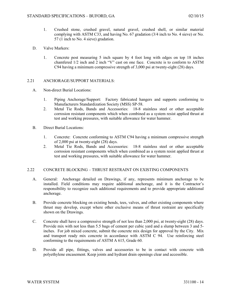- 1. Crushed stone, crushed gravel, natural gravel, crushed shell, or similar material complying with ASTM C33, and having No. 67 gradation (3/4 inch to No. 4 sieve) or No. 57 (1 inch to No. 4 sieve) gradation.
- D. Valve Markers:
	- 1. Concrete post measuring 5 inch square by 4 foot long with edges on top 18 inches chamfered 1/2 inch and 2 inch "V" cast on one face. Concrete is to conform to ASTM C94 having a minimum compressive strength of 3,000 psi at twenty-eight (28) days.

## 2.21 ANCHORAGE/SUPPORT MATERIALS:

- A. Non-direct Burial Locations:
	- 1. Piping Anchorage/Support: Factory fabricated hangers and supports conforming to Manufacturers Standardization Society (MSS) SP-58.
	- 2. Metal Tie Rods, Bands and Accessories: 18-8 stainless steel or other acceptable corrosion resistant components which when combined as a system resist applied thrust at test and working pressures, with suitable allowance for water hammer.
- B. Direct Burial Locations:
	- 1. Concrete: Concrete conforming to ASTM C94 having a minimum compressive strength of 2,000 psi at twenty-eight (28) days.
	- 2. Metal Tie Rods, Bands and Accessories: 18-8 stainless steel or other acceptable corrosion resistant components which when combined as a system resist applied thrust at test and working pressures, with suitable allowance for water hammer.

# 2.22 CONCRETE BLOCKING – THRUST RESTRAINT ON EXISTING COMPONENTS

- A. General: Anchorage detailed on Drawings, if any, represents minimum anchorage to be installed. Field conditions may require additional anchorage, and it is the Contractor's responsibility to recognize such additional requirements and to provide appropriate additional anchorage.
- B. Provide concrete blocking on existing bends, tees, valves, and other existing components where thrust may develop, except where other exclusive means of thrust restraint are specifically shown on the Drawings.
- C. Concrete shall have a compressive strength of not less than 2,000 psi, at twenty-eight (28) days. Provide mix with not less than 5.5 bags of cement per cubic yard and a slump between 3 and 5 inches. For job mixed concrete, submit the concrete mix design for approval by the City. Mix and transport ready mix concrete in accordance with ASTM C 94. Use reinforcing steel conforming to the requirements of ASTM A 615, Grade 60.
- D. Provide all pipe, fittings, valves and accessories to be in contact with concrete with polyethylene encasement. Keep joints and hydrant drain openings clear and accessible.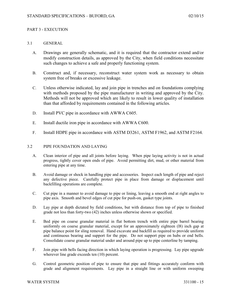## PART 3 - EXECUTION

## 3.1 GENERAL

- A. Drawings are generally schematic, and it is required that the contractor extend and/or modify construction details, as approved by the City, when field conditions necessitate such changes to achieve a safe and properly functioning system.
- B. Construct and, if necessary, reconstruct water system work as necessary to obtain system free of breaks or excessive leakage.
- C. Unless otherwise indicated, lay and join pipe in trenches and on foundations complying with methods proposed by the pipe manufacturer in writing and approved by the City. Methods will not be approved which are likely to result in lower quality of installation than that afforded by requirements contained in the following articles.
- D. Install PVC pipe in accordance with AWWA C605.
- E. Install ductile iron pipe in accordance with AWWA C600.
- F. Install HDPE pipe in accordance with ASTM D3261, ASTM F1962, and ASTM F2164.

## 3.2 PIPE FOUNDATION AND LAYING

- A. Clean interior of pipe and all joints before laying. When pipe laying activity is not in actual progress, tightly cover open ends of pipe. Avoid permitting dirt, mud, or other material from entering pipe at any time.
- B. Avoid damage or shock in handling pipe and accessories. Inspect each length of pipe and reject any defective piece. Carefully protect pipe in place from damage or displacement until backfilling operations are complete.
- C. Cut pipe in a manner to avoid damage to pipe or lining, leaving a smooth end at right angles to pipe axis. Smooth and bevel edges of cut pipe for push-on, gasket type joints.
- D. Lay pipe at depth dictated by field conditions, but with distance from top of pipe to finished grade not less than forty-two (42) inches unless otherwise shown or specified.
- E. Bed pipe on coarse granular material in flat bottom trench with entire pipe barrel bearing uniformly on coarse granular material, except for an approximately eighteen (l8) inch gap at pipe balance point for sling removal. Hand excavate and backfill as required to provide uniform and continuous bearing and support for the pipe. Do not support pipe on hubs or end bells. Consolidate coarse granular material under and around pipe up to pipe centerline by tamping.
- F. Join pipe with bells facing direction in which laying operation is progressing. Lay pipe upgrade wherever line grade exceeds ten  $(10)$  percent.
- G. Control geometric position of pipe to ensure that pipe and fittings accurately conform with grade and alignment requirements. Lay pipe in a straight line or with uniform sweeping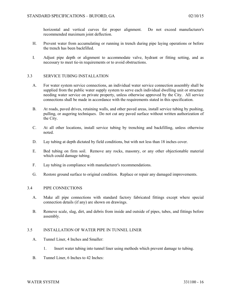horizontal and vertical curves for proper alignment. Do not exceed manufacturer's recommended maximum joint deflection.

- H. Prevent water from accumulating or running in trench during pipe laying operations or before the trench has been backfilled.
- I. Adjust pipe depth or alignment to accommodate valve, hydrant or fitting setting, and as necessary to meet tie-in requirements or to avoid obstructions.

## 3.3 SERVICE TUBING INSTALLATION

- A. For water system service connections, an individual water service connection assembly shall be supplied from the public water supply system to serve each individual dwelling unit or structure needing water service on private property, unless otherwise approved by the City. All service connections shall be made in accordance with the requirements stated in this specification.
- B. At roads, paved drives, retaining walls, and other paved areas, install service tubing by pushing, pulling, or augering techniques. Do not cut any paved surface without written authorization of the City.
- C. At all other locations, install service tubing by trenching and backfilling, unless otherwise noted.
- D. Lay tubing at depth dictated by field conditions, but with not less than 18 inches cover.
- E. Bed tubing on firm soil. Remove any rocks, masonry, or any other objectionable material which could damage tubing.
- F. Lay tubing in compliance with manufacturer's recommendations.
- G. Restore ground surface to original condition. Replace or repair any damaged improvements.

#### 3.4 PIPE CONNECTIONS

- A. Make all pipe connections with standard factory fabricated fittings except where special connection details (if any) are shown on drawings.
- B. Remove scale, slag, dirt, and debris from inside and outside of pipes, tubes, and fittings before assembly.

### 3.5 INSTALLATION OF WATER PIPE IN TUNNEL LINER

- A. Tunnel Liner, 4 Inches and Smaller:
	- 1. Insert water tubing into tunnel liner using methods which prevent damage to tubing.
- B. Tunnel Liner, 6 Inches to 42 Inches: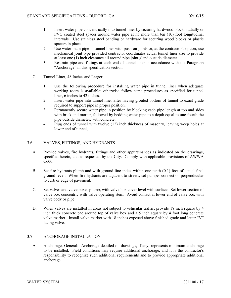- 1. Insert water pipe concentrically into tunnel liner by securing hardwood blocks radially or PVC coated steel spacer around water pipe at no more than ten (10) foot longitudinal intervals. Use stainless steel banding or hardware for securing wood blocks or plastic spacers in place.
- 2. Use water main pipe in tunnel liner with push-on joints or, at the contractor's option, use mechanical joint type provided contractor coordinates actual tunnel liner size to provide at least one (1) inch clearance all around pipe joint gland outside diameter.
- 3. Restrain pipe and fittings at each end of tunnel liner in accordance with the Paragraph "Anchorage" in this specification section.
- C. Tunnel Liner, 48 Inches and Larger:
	- 1. Use the following procedure for installing water pipe in tunnel liner when adequate working room is available; otherwise follow same procedures as specified for tunnel liner, 6 inches to 42 inches.
	- 2. Insert water pipe into tunnel liner after having grouted bottom of tunnel to exact grade required to support pipe in proper position.
	- 3. Permanently secure water pipe in position by blocking each pipe length at top and sides with brick and mortar, followed by bedding water pipe to a depth equal to one-fourth the pipe outside diameter, with concrete.
	- 4. Plug ends of tunnel with twelve (12) inch thickness of masonry, leaving weep holes at lower end of tunnel,

# 3.6 VALVES, FITTINGS, AND HYDRANTS

- A. Provide valves, fire hydrants, fittings and other appurtenances as indicated on the drawings, specified herein, and as requested by the City. Comply with applicable provisions of AWWA C600.
- B. Set fire hydrants plumb and with ground line index within one tenth (0.1) foot of actual final ground level. When fire hydrants are adjacent to streets, set pumper connection perpendicular to curb or edge of pavement.
- C. Set valves and valve boxes plumb, with valve box cover level with surface. Set lower section of valve box concentric with valve operating stem. Avoid contact at lower end of valve box with valve body or pipe.
- D. When valves are installed in areas not subject to vehicular traffic, provide 18 inch square by 4 inch thick concrete pad around top of valve box and a 5 inch square by 4 foot long concrete valve marker. Install valve marker with 18 inches exposed above finished grade and letter "V" facing valve.

# 3.7 ANCHORAGE INSTALLATION

A. Anchorage, General: Anchorage detailed on drawings, if any, represents minimum anchorage to be installed. Field conditions may require additional anchorage, and it is the contractor's responsibility to recognize such additional requirements and to provide appropriate additional anchorage.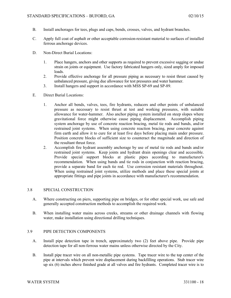- B. Install anchorages for tees, plugs and caps, bends, crosses, valves, and hydrant branches.
- C. Apply full coat of asphalt or other acceptable corrosion-resistant material to surfaces of installed ferrous anchorage devices.
- D. Non-Direct Burial Locations:
	- 1. Place hangers, anchors and other supports as required to prevent excessive sagging or undue strain on joints or equipment. Use factory fabricated hangers only, sized amply for imposed loads.
	- 2. Provide effective anchorage for all pressure piping as necessary to resist thrust caused by unbalanced pressure, giving due allowance for test pressures and water hammer.
	- 3. Install hangers and support in accordance with MSS SP-69 and SP-89.
- E. Direct Burial Locations:
	- 1. Anchor all bends, valves, tees, fire hydrants, reducers and other points of unbalanced pressure as necessary to resist thrust at test and working pressures, with suitable allowance for water-hammer. Also anchor piping system installed on steep slopes where gravitational force might otherwise cause piping displacement. Accomplish piping system anchorage by use of concrete reaction bracing, metal tie rods and bands, and/or restrained joint systems. When using concrete reaction bracing, pour concrete against firm earth and allow it to cure for at least five days before placing main under pressure. Position concrete blocks of sufficient size to counteract the magnitude and direction of the resultant thrust force.
	- 2. Accomplish fire hydrant assembly anchorage by use of metal tie rods and bands and/or restrained joint systems. Keep joints and hydrant drain openings clear and accessible. Provide special support blocks at plastic pipes according to manufacturer's recommendation. When using bands and tie rods in conjunction with reaction bracing, provide a separate band for each tie rod. Use corrosion resistant materials throughout. When using restrained joint systems, utilize methods and place these special joints at appropriate fittings and pipe joints in accordance with manufacturer's recommendation.

#### 3.8 SPECIAL CONSTRUCTION

- A. Where constructing on piers, supporting pipe on bridges, or for other special work, use safe and generally accepted construction methods to accomplish the required work.
- B. When installing water mains across creeks, streams or other drainage channels with flowing water, make installation using directional drilling techniques.

#### 3.9 PIPE DETECTION COMPONENTS

- A. Install pipe detection tape in trench, approximately two (2) feet above pipe. Provide pipe detection tape for all non-ferrous water mains unless otherwise directed by the City.
- B. Install pipe tracer wire on all non-metallic pipe systems. Tape tracer wire to the top center of the pipe at intervals which prevent wire displacement during backfilling operations. Stub tracer wire up six (6) inches above finished grade at all valves and fire hydrants. Completed tracer wire is to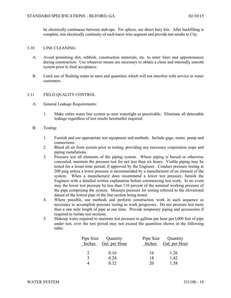be electrically continuous between stub-ups. For splices, use direct bury kits. After backfilling is complete, test electrically continuity of each tracer wire segment and provide test results to City.

### 3.10 LINE CLEANING:

- A. Avoid permitting dirt, rubbish, construction materials, etc. to enter lines and appurtenances during construction. Use whatever means are necessary to obtain a clean and internally smooth system prior to final acceptance.
- B. Limit use of flushing water to rates and quantities which will not interfere with service to water customers.

### 3.11 FIELD QUALITY CONTROL

- A. General Leakage Requirements:
	- 1. Make entire water line system as near watertight as practicable. Eliminate all detectable leakage regardless of test results hereinafter required.

#### B. Testing:

- 1. Furnish and use appropriate test equipment and methods. Include gage, meter, pump and connections.
- 2. Bleed all air from system prior to testing, providing any necessary corporation stops and piping installations.
- 3. Pressure test all elements of the piping system. Where piping is buried or otherwise concealed, maintain the pressure test for not less than six hours. Visible piping may be tested for a lesser time period, if approved by the Engineer. Conduct pressure testing at 200 psig unless a lower pressure is recommended by a manufacturer of an element of the system. When a manufacturer does recommend a lower test pressure, furnish the Engineer with a detailed written explanation before commencing test work. In no event may the lower test pressure be less than 110 percent of the nominal working pressure of the pipe comprising the system. Measure pressure for testing referred to the elevational datum of the lowest pipe of the line section being tested.
- 4. Where possible, use methods and perform construction work in such sequence as necessary to accomplish pressure testing as work progresses. Do not pressure test more than a one mile length of pipe at one time. Provide temporary piping and accessories if required to isolate test sections.
- 5. Makeup water required to maintain test pressure in gallons per hour per l,000 feet of pipe under test, over the test period may not exceed the quantities shown in the following table:

| Pipe Size<br>Inches | Quantity<br>Gal. per Hour | Inches | Pipe Size Quantity<br>Gal. per Hour |
|---------------------|---------------------------|--------|-------------------------------------|
| 2                   | 0.16                      | 16     | 1.26                                |
| $\mathbf{R}$        | 0.24                      | 18     | 1.42                                |
|                     | 0.32                      | 20     | 158                                 |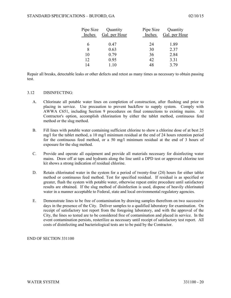| Quantity      |
|---------------|
| Gal. per Hour |
|               |
|               |
|               |
|               |
|               |
|               |
|               |

Repair all breaks, detectable leaks or other defects and retest as many times as necessary to obtain passing test.

### 3.12 DISINFECTING:

- A. Chlorinate all potable water lines on completion of construction, after flushing and prior to placing in service. Use precaution to prevent backflow to supply system. Comply with AWWA C651, including Section 9 procedures on final connections to existing mains. At Contractor's option, accomplish chlorination by either the tablet method, continuous feed method or the slug method.
- B. Fill lines with potable water containing sufficient chlorine to show a chlorine dose of at best 25 mg/l for the tablet method, a 10 mg/l minimum residual at the end of 24 hours retention period for the continuous feed method, or a 50 mg/l minimum residual at the end of 3 hours of exposure for the slug method.
- C. Provide and operate all equipment and provide all materials necessary for disinfecting water mains. Draw off at taps and hydrants along the line until a DPD test or approved chlorine test kit shows a strong indication of residual chlorine.
- D. Retain chlorinated water in the system for a period of twenty-four (24) hours for either tablet method or continuous feed method. Test for specified residual. If residual is as specified or greater, flush the system with potable water, otherwise repeat entire procedure until satisfactory results are obtained. If the slug method of disinfection is used, dispose of heavily chlorinated water in a manner acceptable to Federal, state and local environmental regulatory agencies.
- E. Demonstrate lines to be free of contamination by drawing samples therefrom on two successive days in the presence of the City. Deliver samples to a qualified laboratory for examination. On receipt of satisfactory test report from the foregoing laboratory, and with the approval of the City, the lines so tested are to be considered free of contamination and placed in service. In the event contamination persists, resterilize as necessary until receipt of satisfactory test report. All costs of disinfecting and bacteriological tests are to be paid by the Contractor.

END OF SECTION 331100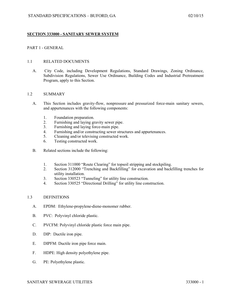## **SECTION 333000 - SANITARY SEWER SYSTEM**

## PART 1 - GENERAL

#### 1.1 RELATED DOCUMENTS

A. City Code, including Development Regulations, Standard Drawings, Zoning Ordinance, Subdivision Regulations, Sewer Use Ordinance, Building Codes and Industrial Pretreatment Program, apply to this Section.

#### 1.2 SUMMARY

- A. This Section includes gravity-flow, nonpressure and pressurized force-main sanitary sewers, and appurtenances with the following components:
	- 1. Foundation preparation.
	- 2. Furnishing and laying gravity sewer pipe.
	- 3. Furnishing and laying force-main pipe.
	- 4. Furnishing and/or constructing sewer structures and appurtenances.<br>5. Cleaning and/or televising constructed work.
	- 5. Cleaning and/or televising constructed work.
	- 6. Testing constructed work.
- B. Related sections include the following:
	- 1. Section 311000 "Route Clearing" for topsoil stripping and stockpiling.
	- 2. Section 312000 "Trenching and Backfilling" for excavation and backfilling trenches for utility installation.
	- 3. Section 330523 "Tunneling" for utility line construction.
	- 4. Section 330525 "Directional Drilling" for utility line construction.

### 1.3 DEFINITIONS

- A. EPDM: Ethylene-propylene-diene-monomer rubber.
- B. PVC: Polyvinyl chloride plastic.
- C. PVCFM: Polyvinyl chloride plastic force main pipe.
- D. DIP: Ductile iron pipe.
- E. DIPFM: Ductile iron pipe force main.
- F. HDPE: High density polyethylene pipe.
- G. PE: Polyethylene plastic.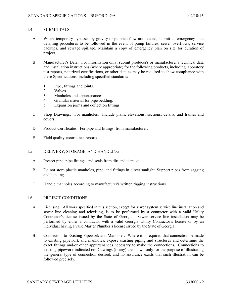# 1.4 SUBMITTALS

- A. Where temporary bypasses by gravity or pumped flow are needed, submit an emergency plan detailing procedures to be followed in the event of pump failures, sewer overflows, service backups, and sewage spillage. Maintain a copy of emergency plan on site for duration of project.
- B. Manufacturer's Data: For information only, submit producer's or manufacturer's technical data and installation instructions (where appropriate) for the following products, including laboratory test reports, notarized certifications, or other data as may be required to show compliance with these Specifications, including specified standards:
	- 1. Pipe, fittings and joints.
	- 2. Valves.
	- 3. Manholes and appurtenances.
	- 4. Granular material for pipe bedding.
	- 5. Expansion joints and deflection fittings.
- C. Shop Drawings: For manholes. Include plans, elevations, sections, details, and frames and covers.
- D. Product Certificates: For pipe and fittings, from manufacturer.
- E. Field quality-control test reports.
- 1.5 DELIVERY, STORAGE, AND HANDLING
	- A. Protect pipe, pipe fittings, and seals from dirt and damage.
	- B. Do not store plastic manholes, pipe, and fittings in direct sunlight. Support pipes from sagging and bending.
	- C. Handle manholes according to manufacturer's written rigging instructions.

# 1.6 PROJECT CONDITIONS

- A. Licensing: All work specified in this section, except for sewer system service line installation and sewer line cleaning and televising, is to be performed by a contractor with a valid Utility Contractor's license issued by the State of Georgia. Sewer service line installation may be performed by either a contractor with a valid Georgia Utility Contractor's license or by an individual having a valid Master Plumber's license issued by the State of Georgia.
- B. Connection to Existing Pipework and Manholes: Where it is required that connection be made to existing pipework and manholes, expose existing piping and structures and determine the exact fittings and/or other appurtenances necessary to make the connections. Connections to existing pipework indicated on Drawings (if any) are shown only for the purpose of illustrating the general type of connection desired, and no assurance exists that such illustration can be followed precisely.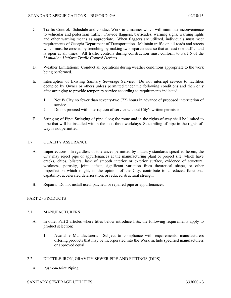- C. Traffic Control: Schedule and conduct Work in a manner which will minimize inconvenience to vehicular and pedestrian traffic. Provide flaggers, barricades, warning signs, warning lights and other warning means as appropriate. When flaggers are utilized, individuals must meet requirements of Georgia Department of Transportation. Maintain traffic on all roads and streets which must be crossed by trenching by making two separate cuts so that at least one traffic land is open at all times. All traffic controls during construction must conform to Part 6 of the *Manual on Uniform Traffic Control Devices*
- D. Weather Limitations: Conduct all operations during weather conditions appropriate to the work being performed.
- E. Interruption of Existing Sanitary Sewerage Service: Do not interrupt service to facilities occupied by Owner or others unless permitted under the following conditions and then only after arranging to provide temporary service according to requirements indicated:
	- 1. Notify City no fewer than seventy-two (72) hours in advance of proposed interruption of service.
	- 2. Do not proceed with interruption of service without City's written permission.
- F. Stringing of Pipe: Stringing of pipe along the route and in the rights-of-way shall be limited to pipe that will be installed within the next three workdays. Stockpiling of pipe in the rights-ofway is not permitted.

## 1.7 QUALITY ASSURANCE

- A. Imperfections: Irregardless of tolerances permitted by industry standards specified herein, the City may reject pipe or appurtenances at the manufacturing plant or project site, which have cracks, chips, blisters, lack of smooth interior or exterior surface, evidence of structural weakness, porosity, joint defect, significant variation from theoretical shape, or other imperfection which might, in the opinion of the City, contribute to a reduced functional capability, accelerated deterioration, or reduced structural strength.
- B. Repairs: Do not install used, patched, or repaired pipe or appurtenances.

# PART 2 - PRODUCTS

## 2.1 MANUFACTURERS

- A. In other Part 2 articles where titles below introduce lists, the following requirements apply to product selection:
	- 1. Available Manufacturers: Subject to compliance with requirements, manufacturers offering products that may be incorporated into the Work include specified manufacturers or approved equal.

# 2.2 DUCTILE-IRON, GRAVITY SEWER PIPE AND FITTINGS (DIPS)

A. Push-on-Joint Piping:

## SANITARY SEWERAGE UTILITIES 333000 - 3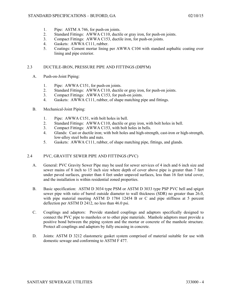- 1. Pipe: ASTM A 746, for push-on joints.
- 2. Standard Fittings: AWWA C110, ductile or gray iron, for push-on joints.
- 3. Compact Fittings: AWWA C153, ductile iron, for push-on joints.
- 4. Gaskets: AWWA C111, rubber.
- 5. Coatings: Cement mortar lining per AWWA C104 with standard asphaltic coating over lining and pipe exterior.

## 2.3 DUCTILE-IRON, PRESSURE PIPE AND FITTINGS (DIPFM)

- A. Push-on-Joint Piping:
	- 1. Pipe: AWWA C151, for push-on joints.
	- 2. Standard Fittings: AWWA C110, ductile or gray iron, for push-on joints.
	- 3. Compact Fittings: AWWA C153, for push-on joints.
	- 4. Gaskets: AWWA C111, rubber, of shape matching pipe and fittings.
- B. Mechanical-Joint Piping:
	- 1. Pipe: AWWA C151, with bolt holes in bell.
	- 2. Standard Fittings: AWWA C110, ductile or gray iron, with bolt holes in bell.
	- 3. Compact Fittings: AWWA C153, with bolt holes in bells.
	- 4. Glands: Cast or ductile iron; with bolt holes and high-strength, cast-iron or high-strength, low-alloy steel bolts and nuts.
	- 5. Gaskets: AWWA C111, rubber, of shape matching pipe, fittings, and glands.

# 2.4 PVC, GRAVITY SEWER PIPE AND FITTINGS (PVC)

- A. General: PVC Gravity Sewer Pipe may be used for sewer services of 4 inch and 6 inch size and sewer mains of 8 inch to 15 inch size where depth of cover above pipe is greater than 7 feet under paved surfaces, greater than 4 feet under unpaved surfaces, less than 16 feet total cover, and the installation is within residential zoned properties.
- B. Basic specification: ASTM D 3034 type PSM or ASTM D 3033 type PSP PVC bell and spigot sewer pipe with ratio of barrel outside diameter to wall thickness (SDR) no greater than 26.0, with pipe material meeting ASTM D 1784 12454 B or C and pipe stiffness at 5 percent deflection per ASTM D 2412, no less than 46.0 psi.
- C. Couplings and adaptors: Provide standard couplings and adaptors specifically designed to connect the PVC pipe to manholes or to other pipe materials. Manhole adaptors must provide a positive bond between the piping system and the mortar or concrete of the manhole structure. Protect all couplings and adaptors by fully encasing in concrete.
- D. Joints: ASTM D 3212 elastomeric gasket system comprised of material suitable for use with domestic sewage and conforming to ASTM F 477.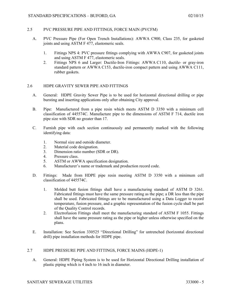## 2.5 PVC PRESSURE PIPE AND FITTINGS, FORCE MAIN (PVCFM)

- A. PVC Pressure Pipe (For Open Trench Installations): AWWA C900, Class 235, for gasketed joints and using ASTM F 477, elastomeric seals.
	- 1. Fittings NPS 4: PVC pressure fittings complying with AWWA C907, for gasketed joints and using ASTM F 477, elastomeric seals.
	- 2. Fittings NPS 6 and Larger: Ductile-Iron Fittings: AWWA C110, ductile- or gray-iron standard pattern or AWWA C153, ductile-iron compact pattern and using AWWA C111, rubber gaskets.

## 2.6 HDPE GRAVITY SEWER PIPE AND FITTINGS

- A. General: HDPE Gravity Sewer Pipe is to be used for horizontal directional drilling or pipe bursting and inserting applications only after obtaining City approval.
- B. Pipe: Manufactured from a pipe resin which meets ASTM D 3350 with a minimum cell classification of 445574C. Manufacture pipe to the dimensions of ASTM F 714, ductile iron pipe size with SDR no greater than 17.
- C. Furnish pipe with each section continuously and permanently marked with the following identifying data:
	- 1. Normal size and outside diameter.
	- 2. Material code designation.
	- 3. Dimension ratio number (SDR or DR).
	- 4. Pressure class.
	- 5. ASTM or AWWA specification designation.
	- 6. Manufacturer's name or trademark and production record code.
- D. Fittings: Made from HDPE pipe resin meeting ASTM D 3350 with a minimum cell classification of 445574C.
	- 1. Molded butt fusion fittings shall have a manufacturing standard of ASTM D 3261. Fabricated fittings must have the same pressure rating as the pipe; a DR less than the pipe shall be used. Fabricated fittings are to be manufactured using a Data Logger to record temperature, fusion pressure, and a graphic representation of the fusion cycle shall be part of the Quality Control records.
	- 2. Electrofusion Fittings shall meet the manufacturing standard of ASTM F 1055. Fittings shall have the same pressure rating as the pipe or higher unless otherwise specified on the plans.
- E. Installation: See Section 330525 "Directional Drilling" for untrenched (horizontal directional drill) pipe installation methods for HDPE pipe.

## 2.7 HDPE PRESSURE PIPE AND FITTINGS, FORCE MAINS (HDPE-1)

A. General: HDPE Piping System is to be used for Horizontal Directional Drilling installation of plastic piping which is 4 inch to 16 inch in diameter.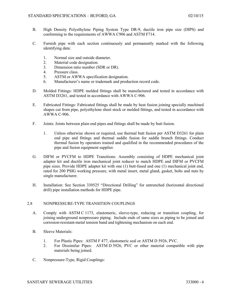- B. High Density Polyethylene Piping System Type DR-9, ductile iron pipe size (DIPS) and conforming to the requirements of AWWA C906 and ASTM F714.
- C. Furnish pipe with each section continuously and permanently marked with the following identifying data:
	- 1. Normal size and outside diameter.
	- 2. Material code designation.
	- 3. Dimension ratio number (SDR or DR).
	- 4. Pressure class.
	- 5. ASTM or AWWA specification designation.
	- 6. Manufacturer's name or trademark and production record code.
- D. Molded Fittings: HDPE molded fittings shall be manufactured and tested in accordance with ASTM D3261, and tested in accordance with AWWA C-906.
- E. Fabricated Fittings: Fabricated fittings shall be made by heat fusion joining specially machined shapes cut from pipe, polyethylene sheet stock or molded fittings, and tested in accordance with AWWA C-906.
- F. Joints: Joints between plain end pipes and fittings shall be made by butt fusion.
	- 1. Unless otherwise shown or required, use thermal butt fusion per ASTM D3261 for plain end pipe and fittings and thermal saddle fusion for saddle branch fittings. Conduct thermal fusion by operators trained and qualified in the recommended procedures of the pipe and fusion equipment supplier.
- G. DIFM or PVCFM to HDPE Transitions: Assembly consisting of HDPE mechanical joint adapter kit and ductile iron mechanical joint reducer to match HDPE and DIFM or PVCFM pipe sizes. Provide HDPE adapter kit with one (1) butt-fused and one (1) mechanical joint end, rated for 200 PSIG working pressure, with metal insert, metal gland, gasket, bolts and nuts by single manufacturer.
- H. Installation: See Section 330525 "Directional Drilling" for untrenched (horizontal directional drill) pipe installation methods for HDPE pipe.

## 2.8 NONPRESSURE-TYPE TRANSITION COUPLINGS

- A. Comply with ASTM C 1173, elastomeric, sleeve-type, reducing or transition coupling, for joining underground nonpressure piping. Include ends of same sizes as piping to be joined and corrosion-resistant-metal tension band and tightening mechanism on each end.
- B. Sleeve Materials:
	- 1. For Plastic Pipes: ASTM F 477, elastomeric seal or ASTM D 5926, PVC.
	- 2. For Dissimilar Pipes: ASTM D 5926, PVC or other material compatible with pipe materials being joined.
- C. Nonpressure-Type, Rigid Couplings: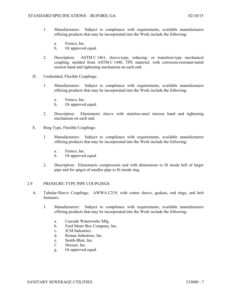- 1. Manufacturers: Subject to compliance with requirements, available manufacturers offering products that may be incorporated into the Work include the following:
	- a. Fernco, Inc.
	- b. Or approved equal.
- 2. Description: ASTM C 1461, sleeve-type, reducing- or transition-type mechanical coupling, molded from ASTM C 1440, TPE material; with corrosion-resistant-metal tension band and tightening mechanism on each end.
- D. Unshielded, Flexible Couplings:
	- 1. Manufacturers: Subject to compliance with requirements, available manufacturers offering products that may be incorporated into the Work include the following:
		- a. Fernco, Inc.
		- b. Or approved equal.
	- 2. Description: Elastomeric sleeve with stainless-steel tension band and tightening mechanism on each end.
- E. Ring Type, Flexible Couplings:
	- 1. Manufacturers: Subject to compliance with requirements, available manufacturers offering products that may be incorporated into the Work include the following:
		- a. Fernco, Inc.
		- b. Or approved equal.
	- 2. Description: Elastomeric compression seal with dimensions to fit inside bell of larger pipe and for spigot of smaller pipe to fit inside ring.

## 2.9 PRESSURE-TYPE PIPE COUPLINGS

- A. Tubular-Sleeve Couplings: AWWA C219, with center sleeve, gaskets, end rings, and bolt fasteners.
	- 1. Manufacturers: Subject to compliance with requirements, available manufacturers offering products that may be incorporated into the Work include the following:
		- a. Cascade Waterworks Mfg.
		- b. Ford Meter Box Company, Inc.
		- c. JCM Industries.
		- d. Romac Industries, Inc.
		- e. Smith-Blair, Inc.
		- f. Dresser, Inc.
		- g. Or approved equal.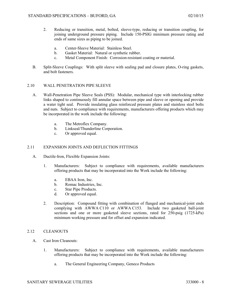- 2. Reducing or transition, metal, bolted, sleeve-type, reducing or transition coupling, for joining underground pressure piping. Include 150-PSIG minimum pressure rating and ends of same sizes as piping to be joined.
	- a. Center-Sleeve Material: Stainless Steel.
	- b. Gasket Material: Natural or synthetic rubber.
	- c. Metal Component Finish: Corrosion-resistant coating or material.
- B. Split-Sleeve Couplings: With split sleeve with sealing pad and closure plates, O-ring gaskets, and bolt fasteners.

## 2.10 WALL PENETRATION PIPE SLEEVE

- A. Wall-Penetration Pipe Sleeve Seals (PSS): Modular, mechanical type with interlocking rubber links shaped to continuously fill annular space between pipe and sleeve or opening and provide a water tight seal. Provide insulating glass reinforced pressure plates and stainless steel bolts and nuts. Subject to compliance with requirements, manufacturers offering products which may be incorporated in the work include the following:
	- a. The Metroflex Company.
	- b. Linkseal/Thunderline Corporation.
	- c. Or approved equal.

# 2.11 EXPANSION JOINTS AND DEFLECTION FITTINGS

- A. Ductile-Iron, Flexible Expansion Joints:
	- 1. Manufacturers: Subject to compliance with requirements, available manufacturers offering products that may be incorporated into the Work include the following:
		- a. EBAA Iron, Inc.
		- b. Romac Industries, Inc.
		- c. Star Pipe Products.
		- d. Or approved equal.
	- 2. Description: Compound fitting with combination of flanged and mechanical-joint ends complying with AWWA C110 or AWWA C153. Include two gasketed ball-joint sections and one or more gasketed sleeve sections, rated for 250-psig (1725-kPa) minimum working pressure and for offset and expansion indicated.

## 2.12 CLEANOUTS

- A. Cast Iron Cleanouts:
	- 1. Manufacturers: Subject to compliance with requirements, available manufacturers offering products that may be incorporated into the Work include the following:
		- a. The General Engineering Company, Geneco Products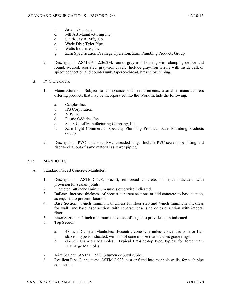- b. Josam Company.
- c. MIFAB Manufacturing Inc.
- d. Smith, Jay R. Mfg. Co.
- e. Wade Div.; Tyler Pipe.
- f. Watts Industries, Inc.
- g. Zurn Specification Drainage Operation; Zurn Plumbing Products Group.
- 2. Description: ASME A112.36.2M, round, gray-iron housing with clamping device and round, secured, scoriated, gray-iron cover. Include gray-iron ferrule with inside calk or spigot connection and countersunk, tapered-thread, brass closure plug.
- B. PVC Cleanouts:
	- 1. Manufacturers: Subject to compliance with requirements, available manufacturers offering products that may be incorporated into the Work include the following:
		- a. Canplas Inc.
		- b. IPS Corporation.
		- c. NDS Inc.
		- d. Plastic Oddities, Inc.
		- e. Sioux Chief Manufacturing Company, Inc.
		- f. Zurn Light Commercial Specialty Plumbing Products; Zurn Plumbing Products Group.
	- 2. Description: PVC body with PVC threaded plug. Include PVC sewer pipe fitting and riser to cleanout of same material as sewer piping.

## 2.13 MANHOLES

- A. Standard Precast Concrete Manholes:
	- 1. Description: ASTM C 478, precast, reinforced concrete, of depth indicated, with provision for sealant joints.
	- 2. Diameter: 48 inches minimum unless otherwise indicated.
	- 3. Ballast: Increase thickness of precast concrete sections or add concrete to base section, as required to prevent flotation.
	- 4. Base Section: 6-inch minimum thickness for floor slab and 4-inch minimum thickness for walls and base riser section; with separate base slab or base section with integral floor.
	- 5. Riser Sections: 4-inch minimum thickness, of length to provide depth indicated.
	- 6. Top Section:
		- a. 48-inch Diameter Manholes: Eccentric-cone type unless concentric-cone or flatslab-top type is indicated; with top of cone of size that matches grade rings.
		- b. 60-inch Diameter Manholes: Typical flat-slab-top type, typical for force main Discharge Manholes.
	- 7. Joint Sealant: ASTM C 990, bitumen or butyl rubber.
	- 8. Resilient Pipe Connectors: ASTM C 923, cast or fitted into manhole walls, for each pipe connection.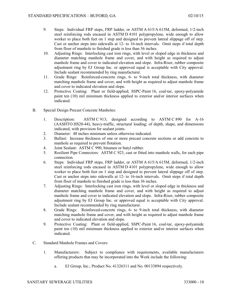- 9. Steps: Individual FRP steps, FRP ladder, or ASTM A 615/A 615M, deformed, 1/2-inch steel reinforcing rods encased in ASTM D 4101 polypropylene, wide enough to allow worker to place both feet on 1 step and designed to prevent lateral slippage off of step. Cast or anchor steps into sidewalls at 12- to 16-inch intervals. Omit steps if total depth from floor of manhole to finished grade is less than 36 inches.
- 10. Adjusting Rings: Interlocking cast iron rings, with level or sloped edge in thickness and diameter matching manhole frame and cover, and with height as required to adjust manhole frame and cover to indicated elevation and slope. Infra-Riser, rubber composite adjustment ring by EJ Group Inc. or approved equal is acceptable with City approval. Include sealant recommended by ring manufacturer.
- 11. Grade Rings: Reinforced-concrete rings, 6- to 9-inch total thickness, with diameter matching manhole frame and cover, and with height as required to adjust manhole frame and cover to indicated elevation and slope.
- 12. Protective Coating: Plant or field-applied, SSPC-Paint 16, coal-tar, epoxy-polyamide paint ten (10) mil minimum thickness applied to exterior and/or interior surfaces when indicated.
- B. Special Design Precast Concrete Manholes:
	- 1. Description: ASTM C 913; designed according to ASTM C 890 for A-16 (AASHTO HS20-44), heavy-traffic, structural loading; of depth, shape, and dimensions indicated, with provision for sealant joints.
	- 2. Diameter: 48 inches minimum unless otherwise indicated.
	- 3. Ballast: Increase thickness of one or more precast concrete sections or add concrete to manhole as required to prevent flotation.
	- 4. Joint Sealant: ASTM C 990, bitumen or butyl rubber.
	- 5. Resilient Pipe Connectors: ASTM C 923, cast or fitted into manhole walls, for each pipe connection.
	- 6. Steps: Individual FRP steps, FRP ladder, or ASTM A 615/A 615M, deformed, 1/2-inch steel reinforcing rods encased in ASTM D 4101 polypropylene, wide enough to allow worker to place both feet on 1 step and designed to prevent lateral slippage off of step. Cast or anchor steps into sidewalls at 12- to 16-inch intervals. Omit steps if total depth from floor of manhole to finished grade is less than 36 inches.
	- 7. Adjusting Rings: Interlocking cast iron rings, with level or sloped edge in thickness and diameter matching manhole frame and cover, and with height as required to adjust manhole frame and cover to indicated elevation and slope. Infra-Riser, rubber composite adjustment ring by EJ Group Inc. or approved equal is acceptable with City approval. Include sealant recommended by ring manufacturer.
	- 8. Grade Rings: Reinforced-concrete rings, 6- to 9-inch total thickness, with diameter matching manhole frame and cover, and with height as required to adjust manhole frame and cover to indicated elevation and slope.
	- 9. Protective Coating: Plant or field-applied, SSPC-Paint 16, coal-tar, epoxy-polyamide paint ten (10) mil minimum thickness applied to exterior and/or interior surfaces when indicated.
- C. Standard Manhole Frames and Covers:
	- 1. Manufacturers: Subject to compliance with requirements, available manufacturers offering products that may be incorporated into the Work include the following:
		- a. EJ Group, Inc.; Product No. 41326311 and No. 00133894 respectively.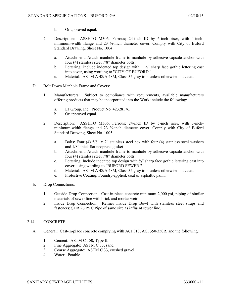- b. Or approved equal.
- 2. Description: ASSHTO M306, Ferrous; 24-inch ID by 6-inch riser, with 4-inchminimum-width flange and 23 ¾-inch diameter cover. Comply with City of Buford Standard Drawing, Sheet No. 1004.
	- a. Attachment: Attach manhole frame to manhole by adhesive capsule anchor with four (4) stainless steel 7/8" diameter bolts.
	- b. Lettering: Include indented top design with  $1\frac{1}{4}$  sharp face gothic lettering cast into cover, using wording to "CITY OF BUFORD."
	- c. Material: ASTM A 48/A 48M, Class 35 gray iron unless otherwise indicated.
- D. Bolt Down Manhole Frame and Covers:
	- 1. Manufacturers: Subject to compliance with requirements, available manufacturers offering products that may be incorporated into the Work include the following:
		- a. EJ Group, Inc.; Product No. 42328176.<br>b. Or approved equal.
		- Or approved equal.
	- 2. Description: ASSHTO M306, Ferrous; 24-inch ID by 5-inch riser, with 3-inchminimum-width flange and 23  $\frac{3}{4}$ -inch diameter cover. Comply with City of Buford Standard Drawing, Sheet No. 1005.
		- a. Bolts: Four (4) 5/8" x 2" stainless steel hex with four (4) stainless steel washers and 1/8" thick flat neoprene gasket.
		- b. Attachment: Attach manhole frame to manhole by adhesive capsule anchor with four (4) stainless steel 7/8" diameter bolts.
		- c. Lettering: Include indented top design with ½" sharp face gothic lettering cast into cover, using wording to "BUFORD SEWER."
		- d. Material: ASTM A 48/A 48M, Class 35 gray iron unless otherwise indicated.
		- e. Protective Coating: Foundry-applied, coat of asphaltic paint.
- E. Drop Connections:
	- 1. Outside Drop Connection: Cast-in-place concrete minimum 2,000 psi, piping of similar materials of sewer line with brick and mortar weir.
	- 2. Inside Drop Connection: Reliner Inside Drop Bowl with stainless steel straps and fasteners; SDR 26 PVC Pipe of same size as influent sewer line.

## 2.14 CONCRETE

- A. General: Cast-in-place concrete complying with ACI 318, ACI 350/350R, and the following:
	- 1. Cement: ASTM C 150, Type II.
	- 2. Fine Aggregate: ASTM C 33, sand.
	- 3. Coarse Aggregate: ASTM C 33, crushed gravel.
	- 4. Water: Potable.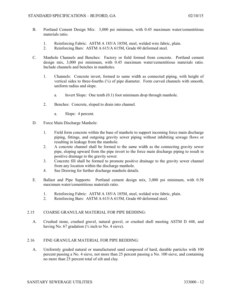- B. Portland Cement Design Mix: 3,000 psi minimum, with 0.45 maximum water/cementitious materials ratio.
	- 1. Reinforcing Fabric: ASTM A 185/A 185M, steel, welded wire fabric, plain.
	- 2. Reinforcing Bars: ASTM A 615/A 615M, Grade 60 deformed steel.
- C. Manhole Channels and Benches: Factory or field formed from concrete. Portland cement design mix, 3,000 psi minimum, with 0.45 maximum water/cementitious materials ratio. Include channels and benches in manholes.
	- 1. Channels: Concrete invert, formed to same width as connected piping, with height of vertical sides to three-fourths  $(\frac{3}{4})$  of pipe diameter. Form curved channels with smooth, uniform radius and slope.
		- a. Invert Slope: One tenth (0.1) foot minimum drop through manhole.
	- 2. Benches: Concrete, sloped to drain into channel.
		- a. Slope: 4 percent.
- D. Force Main Discharge Manhole:
	- 1. Field form concrete within the base of manhole to support incoming force main discharge piping, fittings, and outgoing gravity sewer piping without inhibiting sewage flows or resulting in leakage from the manhole.
	- 2. A concrete channel shall be formed to the same width as the connecting gravity sewer pipe, sloping upward from the pipe invert to the force main discharge piping to result in positive drainage to the gravity sewer.
	- 3. Concrete fill shall be formed to promote positive drainage to the gravity sewer channel from any location within the discharge manhole.
	- 4. See Drawing for further discharge manhole details.
- E. Ballast and Pipe Supports: Portland cement design mix, 3,000 psi minimum, with 0.58 maximum water/cementitious materials ratio.
	- 1. Reinforcing Fabric: ASTM A 185/A 185M, steel, welded wire fabric, plain.
	- 2. Reinforcing Bars: ASTM A 615/A 615M, Grade 60 deformed steel.

## 2.15 COARSE GRANULAR MATERIAL FOR PIPE BEDDING:

A. Crushed stone, crushed gravel, natural gravel, or crushed shell meeting ASTM D 448, and having No. 67 gradation  $\frac{3}{4}$  inch to No. 4 sieve).

## 2.16 FINE GRANULAR MATERIAL FOR PIPE BEDDING:

A. Uniformly graded natural or manufactured sand composed of hard, durable particles with 100 percent passing a No. 4 sieve, not more than 25 percent passing a No. 100 sieve, and containing no more than 25 percent total of silt and clay.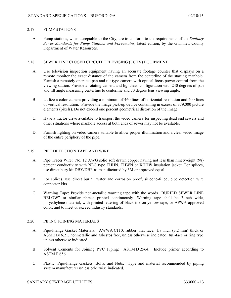### 2.17 PUMP STATIONS

A. Pump stations, when acceptable to the City, are to conform to the requirements of the *Sanitary Sewer Standards for Pump Stations and Forcemains*, latest edition, by the Gwinnett County Department of Water Resources.

## 2.18 SEWER LINE CLOSED CIRCUIT TELEVISING (CCTV) EQUIPMENT

- A. Use television inspection equipment having an accurate footage counter that displays on a remote monitor the exact distance of the camera from the centerline of the starting manhole. Furnish a remotely operated pan and tilt type camera with optical focus power control from the viewing station. Provide a rotating camera and lighthead configuration with 240 degrees of pan and tilt angle measuring centerline to centerline and 70 degree lens viewing angle.
- B. Utilize a color camera providing a minimum of 460 lines of horizontal resolution and 400 lines of vertical resolution. Provide the image pick-up device containing in excess of 379,000 picture elements (pixels). Do not exceed one percent geometrical distortion of the image.
- C. Have a tractor drive available to transport the video camera for inspecting dead end sewers and other situations where manhole access at both ends of sewer may not be available.
- D. Furnish lighting on video camera suitable to allow proper illumination and a clear video image of the entire periphery of the pipe.

### 2.19 PIPE DETECTION TAPE AND WIRE:

- A. Pipe Tracer Wire: No. 12 AWG solid soft drawn copper having not less than ninety-eight (98) percent conductivity with NEC type THHN, THWN or XHHW insulation jacket. For splices, use direct bury kit DBY/DBR as manufactured by 3M or approved equal.
- B. For splices, use direct burial, water and corrosion proof, silicone-filled, pipe detection wire connector kits.
- C. Warning Tape: Provide non-metallic warning tape with the words "BURIED SEWER LINE BELOW" or similar phrase printed continuously. Warning tape shall be 3-inch wide, polyethylene material, with printed lettering of black ink on yellow tape, or APWA approved color, and to meet or exceed industry standards.

## 2.20 PIPING JOINING MATERIALS

- A. Pipe-Flange Gasket Materials: AWWA C110, rubber, flat face, 1/8 inch (3.2 mm) thick or ASME B16.21, nonmetallic and asbestos free, unless otherwise indicated; full-face or ring type unless otherwise indicated.
- B. Solvent Cements for Joining PVC Piping: ASTM D 2564. Include primer according to ASTM F 656.
- C. Plastic, Pipe-Flange Gaskets, Bolts, and Nuts: Type and material recommended by piping system manufacturer unless otherwise indicated.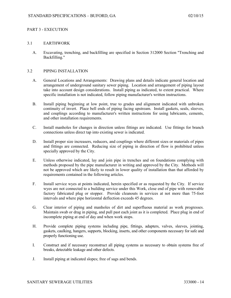## PART 3 - EXECUTION

### 3.1 EARTHWORK

A. Excavating, trenching, and backfilling are specified in Section 312000 Section "Trenching and Backfilling."

### 3.2 PIPING INSTALLATION

- A. General Locations and Arrangements: Drawing plans and details indicate general location and arrangement of underground sanitary sewer piping. Location and arrangement of piping layout take into account design considerations. Install piping as indicated, to extent practical. Where specific installation is not indicated, follow piping manufacturer's written instructions.
- B. Install piping beginning at low point, true to grades and alignment indicated with unbroken continuity of invert. Place bell ends of piping facing upstream. Install gaskets, seals, sleeves, and couplings according to manufacturer's written instructions for using lubricants, cements, and other installation requirements.
- C. Install manholes for changes in direction unless fittings are indicated. Use fittings for branch connections unless direct tap into existing sewer is indicated.
- D. Install proper size increasers, reducers, and couplings where different sizes or materials of pipes and fittings are connected. Reducing size of piping in direction of flow is prohibited unless specially approved by the City.
- E. Unless otherwise indicated, lay and join pipe in trenches and on foundations complying with methods proposed by the pipe manufacturer in writing and approved by the City. Methods will not be approved which are likely to result in lower quality of installation than that afforded by requirements contained in the following articles.
- F. Install service wyes at points indicated, herein specified or as requested by the City. If service wyes are not connected to a building service under this Work, close end of pipe with removable factory fabricated plug or stopper. Provide cleanouts in services at not more than 75-foot intervals and where pipe horizontal deflection exceeds 45 degrees.
- G. Clear interior of piping and manholes of dirt and superfluous material as work progresses. Maintain swab or drag in piping, and pull past each joint as it is completed. Place plug in end of incomplete piping at end of day and when work stops.
- H. Provide complete piping systems including pipe, fittings, adapters, valves, sleeves, jointing, gaskets, caulking, hangers, supports, blocking, inserts, and other components necessary for safe and properly functioning use.
- I. Construct and if necessary reconstruct all piping systems as necessary to obtain systems free of breaks, detectable leakage and other defects.
- J. Install piping at indicated slopes; free of sags and bends.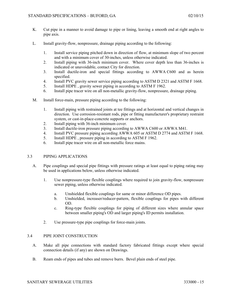- K. Cut pipe in a manner to avoid damage to pipe or lining, leaving a smooth end at right angles to pipe axis.
- L. Install gravity-flow, nonpressure, drainage piping according to the following:
	- 1. Install service piping pitched down in direction of flow, at minimum slope of two percent and with a minimum cover of 30-inches, unless otherwise indicated.
	- 2. Install piping with 36-inch minimum cover. Where cover depth less than 36-inches is indicated or unavoidable, contact City for direction.
	- 3. Install ductile-iron and special fittings according to AWWA C600 and as herein specified.
	- 4. Install PVC gravity sewer service piping according to ASTM D 2321 and ASTM F 1668.
	- 5. Install HDPE , gravity sewer piping in according to ASTM F 1962.
	- 6. Install pipe tracer wire on all non-metallic gravity-flow, nonpressure, drainage piping.
- M. Install force-main, pressure piping according to the following:
	- 1. Install piping with restrained joints at tee fittings and at horizontal and vertical changes in direction. Use corrosion-resistant rods, pipe or fitting manufacturer's proprietary restraint system, or cast-in-place-concrete supports or anchors.
	- 2. Install piping with 36-inch minimum cover.
	- 3. Install ductile-iron pressure piping according to AWWA C600 or AWWA M41.
	- 4. Install PVC pressure piping according AWWA 605 or ASTM D 2774 and ASTM F 1668.
	- 5. Install HDPE , pressure piping in according to ASTM F 1962.
	- 6. Install pipe tracer wire on all non-metallic force mains.

#### 3.3 PIPING APPLICATIONS

- A. Pipe couplings and special pipe fittings with pressure ratings at least equal to piping rating may be used in applications below, unless otherwise indicated.
	- 1. Use nonpressure-type flexible couplings where required to join gravity-flow, nonpressure sewer piping, unless otherwise indicated.
		- a. Unshielded flexible couplings for same or minor difference OD pipes.
		- b. Unshielded, increaser/reducer-pattern, flexible couplings for pipes with different OD.
		- c. Ring-type flexible couplings for piping of different sizes where annular space between smaller piping's OD and larger piping's ID permits installation.
	- 2. Use pressure-type pipe couplings for force-main joints.

# 3.4 PIPE JOINT CONSTRUCTION

- A. Make all pipe connections with standard factory fabricated fittings except where special connection details (if any) are shown on Drawings.
- B. Ream ends of pipes and tubes and remove burrs. Bevel plain ends of steel pipe.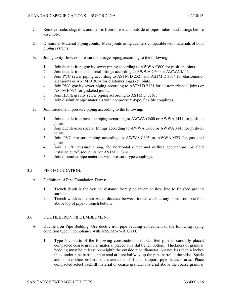- C. Remove scale, slag, dirt, and debris from inside and outside of pipes, tubes, and fittings before assembly.
- D. Dissimilar-Material Piping Joints: Make joints using adapters compatible with materials of both piping systems.
- E. Join gravity-flow, nonpressure, drainage piping according to the following:
	- 1. Join ductile-iron, gravity sewer piping according to AWWA C600 for push-on joints.
	- 2. Join ductile-iron and special fittings according to AWWA C600 or AWWA M41.
	- 3. Join PVC sewer piping according to ASTM D 2321 and ASTM D 3034 for elastomericseal joints or ASTM D 3034 for elastomeric-gasket joints.
	- 4. Join PVC gravity sewer piping according to ASTM D 2321 for elastomeric-seal joints or ASTM F 794 for gasketed joints.
	- 5. Join HDPE gravity sewer piping according to ASTM D 3261.
	- 6. Join dissimilar pipe materials with nonpressure-type, flexible couplings.
- F. Join force-main, pressure piping according to the following:
	- 1. Join ductile-iron pressure piping according to AWWA C600 or AWWA M41 for push-on joints.
	- 2. Join ductile-iron special fittings according to AWWA C600 or AWWA M41 for push-on joints.
	- 3. Join PVC pressure piping according to AWWA C605 or AWWA M23 for gasketed joints.
	- 4. Join HDPE pressure piping, for horizontal directional drilling applications, by field installed butt-fused joints per ASTM D 3261.
	- 5. Join dissimilar pipe materials with pressure-type couplings.

#### 3.5 PIPE FOUNDATION:

- A. Definition of Pipe Foundation Terms:
	- 1. Trench depth is the vertical distance from pipe invert or flow line to finished ground surface.
	- 2. Trench width is the horizontal distance between trench walls at any point from one foot above top of pipe to trench bottom.

#### 3.6 DUCTILE IRON PIPE EMBEDMENT:

- A. Ductile Iron Pipe Bedding: Use ductile iron pipe bedding embedment of the following laying condition type in compliance with ANSI/AWWA C600.
	- 1. Type 5 consists of the following construction method: Bed pipe in carefully placed compacted coarse granular material placed on a flat trench bottom. Thickness of granular bedding must be at least one-eighth the outside pipe diameter, but not less than 4 inches thick under pipe barrel, and extend at least halfway up the pipe barrel at the sides. Spade and shovel-slice embedment material to fill and support pipe haunch area. Place compacted select backfill material or coarse granular material above the coarse granular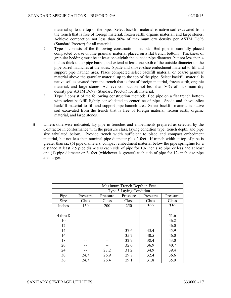material up to the top of the pipe. Select backfill material is native soil excavated from the trench that is free of foreign material, frozen earth, organic material, and large stones. Achieve compaction not less than 90% of maximum dry density per ASTM D698 (Standard Proctor) for all material.

- 2. Type 4 consists of the following construction method: Bed pipe in carefully placed compacted coarse or fine granular material placed on a flat trench bottom. Thickness of granular bedding must be at least one-eighth the outside pipe diameter, but not less than 4 inches thick under pipe barrel, and extend at least one-sixth of the outside diameter up the pipe barrel haunches at the sides. Spade and shovel-slice embedment material to fill and support pipe haunch area. Place compacted select backfill material or coarse granular material above the granular material up to the top of the pipe. Select backfill material is native soil excavated from the trench that is free of foreign material, frozen earth, organic material, and large stones. Achieve compaction not less than 80% of maximum dry density per ASTM D698 (Standard Proctor) for all material.
- 3. Type 2 consist of the following construction method: Bed pipe on a flat trench bottom with select backfill lightly consolidated to centerline of pipe. Spade and shovel-slice backfill material to fill and support pipe haunch area. Select backfill material is native soil excavated from the trench that is free of foreign material, frozen earth, organic material, and large stones.
- B. Unless otherwise indicated, lay pipe in trenches and embedments prepared as selected by the Contractor in conformance with the pressure class, laying condition type, trench depth, and pipe size tabulated below. Provide trench width sufficient to place and compact embedment material, but not less than nominal pipe diameter plus 2-feet. If trench width at top of pipe is greater than six (6) pipe diameters, compact embedment material below the pipe springline for a distance at least 2.5 pipe diameters each side of pipe for 10- inch size pipe or less and at least one (1) pipe diameter or 2- feet (whichever is greater) each side of pipe for 12- inch size pipe and larger.

|          | Maximum Trench Depth in Feet |          |          |          |          |
|----------|------------------------------|----------|----------|----------|----------|
|          | Type 5 Laying Condition      |          |          |          |          |
| Pipe     | Pressure                     | Pressure | Pressure | Pressure | Pressure |
| Size     | Class                        | Class    | Class    | Class    | Class    |
| Inches   | 150                          | 200      | 250      | 300      | 350      |
|          |                              |          |          |          |          |
| 4 thru 8 |                              |          |          |          | 51.6     |
| 10       |                              |          |          |          | 46.2     |
| 12       |                              |          |          |          | 46.0     |
| 14       |                              |          | 37.6     | 43.4     | 45.9     |
| 16       |                              |          | 35.7     | 40.5     | 46.0     |
| 18       |                              |          | 32.7     | 38.4     | 43.0     |
| 20       |                              |          | 32.0     | 36.9     | 40.7     |
| 24       |                              | 27.2     | 31.2     | 34.9     | 39.4     |
| 30       | 24.7                         | 26.9     | 29.8     | 32.4     | 36.6     |
| 36       | 24.7                         | 26.4     | 29.1     | 31.8     | 35.9     |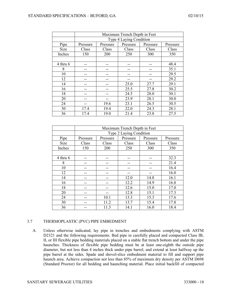|          | Maximum Trench Depth in Feet |          |          |          |          |
|----------|------------------------------|----------|----------|----------|----------|
|          | Type 4 Laying Condition      |          |          |          |          |
| Pipe     | Pressure                     | Pressure | Pressure | Pressure | Pressure |
| Size     | Class                        | Class    | Class    | Class    | Class    |
| Inches   | 150                          | 200      | 250      | 300      | 350      |
|          |                              |          |          |          |          |
| 4 thru 6 |                              |          |          |          | 48.4     |
| 8        |                              |          |          |          | 35.1     |
| 10       |                              |          |          |          | 29.5     |
| 12       |                              |          |          |          | 29.2     |
| 14       |                              |          | 25.0     | 27.7     | 29.1     |
| 16       |                              |          | 25.5     | 27.8     | 30.2     |
| 18       |                              |          | 24.5     | 28.0     | 30.1     |
| 20       |                              |          | 23.9     | 28.1     | 30.0     |
| 24       |                              | 19.6     | 23.1     | 26.5     | 30.5     |
| 30       | 17.4                         | 19.4     | 22.0     | 24.3     | 28.1     |
| 36       | 17.4                         | 19.0     | 21.4     | 23.8     | 27.5     |

|              | Maximum Trench Depth in Feet |          |          |          |          |
|--------------|------------------------------|----------|----------|----------|----------|
|              | Type 2 Laying Condition      |          |          |          |          |
| Pipe         | Pressure                     | Pressure | Pressure | Pressure | Pressure |
| <b>Size</b>  | Class                        | Class    | Class    | Class    | Class    |
| Inches       | 150                          | 200      | 250      | 300      | 350      |
|              |                              |          |          |          |          |
| $4$ thru $6$ |                              |          |          |          | 32.3     |
| 8            |                              |          |          |          | 21.4     |
| 10           |                              |          |          |          | 16.4     |
| 12           |                              |          |          |          | 16.0     |
| 14           |                              |          | 12.0     | 14.8     | 16.1     |
| 16           |                              |          | 12.2     | 14.9     | 16.8     |
| 18           |                              |          | 12.6     | 15.0     | 17.0     |
| 20           |                              |          | 12.8     | 15.1     | 17.3     |
| 24           |                              | 10.1     | 13.3     | 15.3     | 17.6     |
| 30           |                              | 11.2     | 13.7     | 15.4     | 17.8     |
| 36           |                              | 11.3     | 14.1     | 16.0     | 18.4     |

# 3.7 THERMOPLASTIC (PVC) PIPE EMBEDMENT

A. Unless otherwise indicated, lay pipe in trenches and embedments complying with ASTM D2321 and the following requirements. Bed pipe in carefully placed and compacted Class IB, II, or III flexible pipe bedding materials placed on a stable flat trench bottom and under the pipe haunches. Thickness of flexible pipe bedding must be at least one-eighth the outside pipe diameter, but not less than 4 inches thick under pipe barrel, and extend at least halfway up the pipe barrel at the sides. Spade and shovel-slice embedment material to fill and support pipe haunch area. Achieve compaction not less than 85% of maximum dry density per ASTM D698 (Standard Proctor) for all bedding and haunching material. Place initial backfill of compacted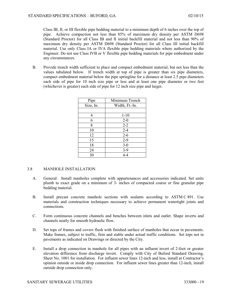Class IB, II, or III flexible pipe bedding material to a minimum depth of 6 inches over the top of pipe. Achieve compaction not less than 85% of maximum dry density per ASTM D698 (Standard Proctor) for all Class IB and II initial backfill material and not less than 90% of maximum dry density per ASTM D698 (Standard Proctor) for all Class III initial backfill material. Use only Class IA or IVA flexible pipe bedding materials where authorized by the Engineer. Do not use Class IVB or V flexible pipe bedding materials for pipe embedment under any circumstances.

B. Provide trench width sufficient to place and compact embedment material, but not less than the values tabulated below. If trench width at top of pipe is greater than six pipe diameters, compact embedment material below the pipe springline for a distance at least 2.5 pipe diameters each side of pipe for 10 inch size pipe or less and at least one pipe diameter or two feet (whichever is greater) each side of pipe for 12 inch size pipe and larger.

| Pipe      | Minimum Trench |  |
|-----------|----------------|--|
| Size, In. | Width, Ft.-In. |  |
|           |                |  |
|           | $1 - 10$       |  |
| 6         | $2 - 0$        |  |
| 8         | $2 - 2$        |  |
| 10        | $2 - 4$        |  |
| 12        | $2 - 6$        |  |
| 15        | $2 - 9$        |  |
| 18        | $3 - 0$        |  |
| 24        | $3-9$          |  |
| 30        | $4 - 4$        |  |

## 3.8 MANHOLE INSTALLATION

- A. General: Install manholes complete with appurtenances and accessories indicated. Set units plumb to exact grade on a minimum of 3- inches of compacted coarse or fine granular pipe bedding material.
- B. Install precast concrete manhole sections with sealants according to ASTM C 891. Use materials and construction techniques necessary to achieve permanent watertight joints and connections.
- C. Form continuous concrete channels and benches between inlets and outlet. Shape inverts and channels neatly for smooth hydraulic flow.
- D. Set tops of frames and covers flush with finished surface of manholes that occur in pavements. Make frames, subject to traffic, firm and stable under actual traffic conditions. Set tops not in pavements as indicated on Drawings or directed by the City.
- E. Install a drop connection in manhole for all pipes with an influent invert of 2-foot or greater elevation difference from discharge invert. Comply with City of Buford Standard Drawing, Sheet No. 1001 for installation. For influent sewer lines 12-inch and less, install at Contractor's opinion outside or inside drop connection. For influent sewer lines greater than 12-inch, install outside drop connection only.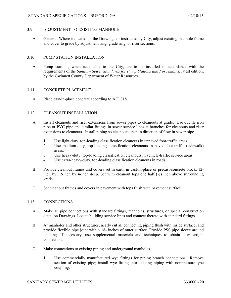## 3.9 ADJUSTMENT TO EXISTING MANHOLE

A. General: Where indicated on the Drawings or instructed by City, adjust existing manhole frame and cover to grade by adjustment ring, grade ring, or riser sections.

## 3.10 PUMP STATION INSTALLATION

A. Pump stations, when acceptable to the City, are to be installed in accordance with the requirements of the *Sanitary Sewer Standards for Pump Stations and Forcemains*, latest edition, by the Gwinnett County Department of Water Resources.

## 3.11 CONCRETE PLACEMENT

A. Place cast-in-place concrete according to ACI 318.

## 3.12 CLEANOUT INSTALLATION

- A. Install cleanouts and riser extensions from sewer pipes to cleanouts at grade. Use ductile iron pipe or PVC pipe and similar fittings in sewer service lines at branches for cleanouts and riser extensions to cleanouts. Install piping so cleanouts open in direction of flow in sewer pipe.
	- 1. Use light-duty, top-loading classification cleanouts in unpaved foot-traffic areas.
	- 2. Use medium-duty, top-loading classification cleanouts in paved foot-traffic (sidewalk) areas.
	- 3. Use heavy-duty, top-loading classification cleanouts in vehicle-traffic service areas.
	- 4. Use extra-heavy-duty, top-loading classification cleanouts in roads.
- B. Provide cleanout frames and covers set in earth in cast-in-place or precast-concrete block, 12 inch by 12-inch by 4-inch deep. Set with cleanout tops one half  $\binom{1}{2}$  inch above surrounding grade.
- C. Set cleanout frames and covers in pavement with tops flush with pavement surface.

#### 3.13 CONNECTIONS

- A. Make all pipe connections with standard fittings, manholes, structures, or special construction detail on Drawings. Locate building service lines and connect thereto with standard fittings.
- B. At manholes and other structures, neatly cut all connecting piping flush with inside surface, and provide flexible pipe joint within 18- inches of outer surface. Provide PSS pipe sleeve around opening. If necessary, use supplemental materials and techniques to obtain a watertight connection.
- C. Make connections to existing piping and underground manholes.
	- 1. Use commercially manufactured wye fittings for piping branch connections. Remove section of existing pipe; install wye fitting into existing piping with nonpressure-type coupling.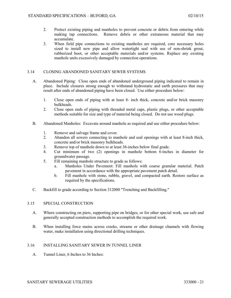- 2. Protect existing piping and manholes to prevent concrete or debris from entering while making tap connections. Remove debris or other extraneous material that may accumulate.
- 3. When field pipe connections to existing manholes are required, core necessary holes sized to install new pipe and allow watertight seal with use of non-shrink grout, rubberized boot, or other acceptable materials and/or systems. Replace any existing manhole units excessively damaged by connection operations.

## 3.14 CLOSING ABANDONED SANITARY SEWER SYSTEMS

- A. Abandoned Piping: Close open ends of abandoned underground piping indicated to remain in place. Include closures strong enough to withstand hydrostatic and earth pressures that may result after ends of abandoned piping have been closed. Use either procedure below:
	- 1. Close open ends of piping with at least 8- inch thick, concrete and/or brick masonry bulkheads.
	- 2. Close open ends of piping with threaded metal caps, plastic plugs, or other acceptable methods suitable for size and type of material being closed. Do not use wood plugs.
- B. Abandoned Manholes: Excavate around manhole as required and use either procedure below:
	- 1. Remove and salvage frame and cover.
	- 2. Abandon all sewers connecting to manhole and seal openings with at least 8-inch thick, concrete and/or brick masonry bulkheads.
	- 3. Remove top of manhole down to at least 36-inches below final grade.
	- 4. Cut minimum of two (2) openings in manhole bottom 6-inches in diameter for groundwater passage.
	- 5. Fill remaining manhole structure to grade as follows:
		- a. Manholes Under Pavement: Fill manhole with coarse granular material. Patch pavement in accordance with the appropriate pavement patch detail.
		- b. Fill manhole with stone, rubble, gravel, and compacted earth. Restore surface as required by the specifications.
- C. Backfill to grade according to Section 312000 "Trenching and Backfilling."

#### 3.15 SPECIAL CONSTRUCTION

- A. Where constructing on piers, supporting pipe on bridges, or for other special work, use safe and generally accepted construction methods to accomplish the required work.
- B. When installing force mains across creeks, streams or other drainage channels with flowing water, make installation using directional drilling techniques.

## 3.16 INSTALLING SANITARY SEWER IN TUNNEL LINER

A. Tunnel Liner, 6 Inches to 36 Inches: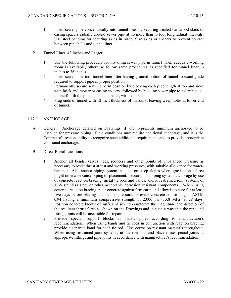- 1. Insert sewer pipe concentrically into tunnel liner by securing treated hardwood skids or casing spacers radially around sewer pipe at no more than l0 foot longitudinal intervals. Use steel banding for securing skids in place. Size skids or spacers to prevent contact between pipe bells and tunnel liner.
- B. Tunnel Liner, 42 Inches and Larger:
	- 1. Use the following procedure for installing sewer pipe in tunnel when adequate working room is available, otherwise follow same procedures as specified for tunnel liner, 6 inches to 36 inches.
	- 2. Insert sewer pipe into tunnel liner after having grouted bottom of tunnel to exact grade required to support pipe in proper position.
	- 3. Permanently secure sewer pipe in position by blocking each pipe length at top and sides with brick and mortar or casing spacers, followed by bedding sewer pipe to a depth equal to one-fourth the pipe outside diameter, with concrete.
	- 4. Plug ends of tunnel with 12 inch thickness of masonry, leaving weep holes at lower end of tunnel.

#### 3.17 ANCHORAGE

- A. General: Anchorage detailed on Drawings, if any, represents minimum anchorage to be installed for pressure piping. Field conditions may require additional anchorage, and it is the Contractor's responsibility to recognize such additional requirements and to provide appropriate additional anchorage.
- B. Direct Burial Locations:
	- 1. Anchor all bends, valves, tees, reducers and other points of unbalanced pressure as necessary to resist thrust at test and working pressures, with suitable allowance for waterhammer. Also anchor piping system installed on steep slopes where gravitational force might otherwise cause piping displacement. Accomplish piping system anchorage by use of concrete reaction bracing, metal tie rods and bands, and/or restrained joint systems of 18-8 stainless steel or other acceptable corrosion resistant components. When using concrete reaction bracing, pour concrete against firm earth and allow it to cure for at least five days before placing main under pressure. Provide concrete conforming to ASTM C94 having a minimum compressive strength of 2,000 psi (13.8 MPa) at 28 days. Position concrete blocks of sufficient size to counteract the magnitude and direction of the resultant thrust force as shown on the Drawings and in such a way that the pipe and fitting joints will be accessible for repair.
	- 2. Provide special support blocks at plastic pipes according to manufacturer's recommendation. When using bands and tie rods in conjunction with reaction bracing, provide a separate band for each tie rod. Use corrosion resistant materials throughout. When using restrained joint systems, utilize methods and place these special joints at appropriate fittings and pipe joints in accordance with manufacturer's recommendation.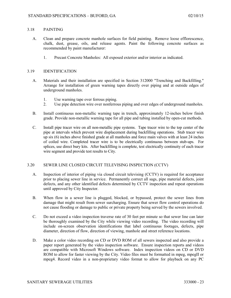#### 3.18 PAINTING

- A. Clean and prepare concrete manhole surfaces for field painting. Remove loose efflorescence, chalk, dust, grease, oils, and release agents. Paint the following concrete surfaces as recommended by paint manufacturer:
	- 1. Precast Concrete Manholes: All exposed exterior and/or interior as indicated.

## 3.19 IDENTIFICATION

- A. Materials and their installation are specified in Section 312000 "Trenching and Backfilling." Arrange for installation of green warning tapes directly over piping and at outside edges of underground manholes.
	- 1. Use warning tape over ferrous piping.
	- 2. Use pipe detection wire over nonferrous piping and over edges of underground manholes.
- B. Install continuous non-metallic warning tape in trench, approximately 12-inches below finish grade. Provide non-metallic warning tape for all pipe and tubing installed by open-cut methods.
- C. Install pipe tracer wire on all non-metallic pipe systems. Tape tracer wire to the top center of the pipe at intervals which prevent wire displacement during backfilling operations. Stub tracer wire up six (6) inches above finished grade at all manholes and force main valves with at least 24 inches of coiled wire. Completed tracer wire is to be electrically continuous between stub-ups. For splices, use direct bury kits. After backfilling is complete, test electrically continuity of each tracer wire segment and provide test results to City.

#### 3.20 SEWER LINE CLOSED CIRCUIT TELEVISING INSPECTION (CCTV)

- A. Inspection of interior of piping via closed circuit televising (CCTV) is required for acceptance prior to placing sewer line in service. Permanently correct all sags, pipe material defects, joint defects, and any other identified defects determined by CCTV inspection and repeat operations until approved by City Inspector.
- B. When flow in a sewer line is plugged, blocked, or bypassed, protect the sewer lines from damage that might result from sewer surcharging. Ensure that sewer flow control operations do not cause flooding or damage to public or private property being served by the sewers involved.
- C. Do not exceed a video inspection traverse rate of 30 feet per minute so that sewer line can later be thoroughly examined by the City while viewing video recording. The video recording will include on-screen observation identifications that label continuous footages, defects, pipe diameter, direction of flow, direction of viewing, manhole and street reference locations.
- D. Make a color video recording on CD or DVD ROM of all sewers inspected and also provide a paper report generated by the video inspection software. Ensure inspection reports and videos are compatible with Microsoft Windows software. Index inspection videos on CD or DVD ROM to allow for faster viewing by the City. Video files must be formatted in mpeg, mpegII or mpeg4. Record video in a non-proprietary video format to allow for playback on any PC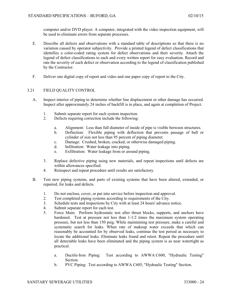computer and/or DVD player. A computer, integrated with the video inspection equipment, will be used to eliminate errors from separate processes.

- E. Describe all defects and observations with a standard table of descriptions so that there is no variation caused by operator subjectivity. Provide a printed legend of defect classifications that identifies a color-coded rating system for defect observations and their severity. Attach the legend of defect classifications to each and every written report for easy evaluation. Record and rate the severity of each defect or observation according to the legend of classification published by the Contractor.
- F. Deliver one digital copy of report and video and one paper copy of report to the City.

## 3.21 FIELD QUALITY CONTROL

- A. Inspect interior of piping to determine whether line displacement or other damage has occurred. Inspect after approximately 24 inches of backfill is in place, and again at completion of Project.
	- 1. Submit separate report for each system inspection.
	- 2. Defects requiring correction include the following:
		- a. Alignment: Less than full diameter of inside of pipe is visible between structures.
		- b. Deflection: Flexible piping with deflection that prevents passage of ball or cylinder of size not less than 95 percent of piping diameter.
		- c. Damage: Crushed, broken, cracked, or otherwise damaged piping.
		- d. Infiltration: Water leakage into piping.
		- e. Exfiltration: Water leakage from or around piping.
	- 3. Replace defective piping using new materials, and repeat inspections until defects are within allowances specified.
	- 4. Reinspect and repeat procedure until results are satisfactory.
- B. Test new piping systems, and parts of existing systems that have been altered, extended, or repaired, for leaks and defects.
	- 1. Do not enclose, cover, or put into service before inspection and approval.
	- 2. Test completed piping systems according to requirements of the City.
	- 3. Schedule tests and inspections by City with at least 24 hours' advance notice.
	- 4. Submit separate report for each test.
	- 5. Force Main: Perform hydrostatic test after thrust blocks, supports, and anchors have hardened. Test at pressure not less than  $1-1/2$  times the maximum system operating pressure, but not less than 150 psig. While maintaining test pressure, make a careful and systematic search for leaks. When rate of makeup water exceeds that which can reasonably be accounted for by observed leaks, continue the test period as necessary to locate the additional leaks. Eliminate leaks found and retest. Repeat the procedure until all detectable leaks have been eliminated and the piping system is as near watertight as practical.
		- a. Ductile-Iron Piping: Test according to AWWA C600, "Hydraulic Testing" Section.
		- b. PVC Piping: Test according to AWWA C605, "Hydraulic Testing" Section.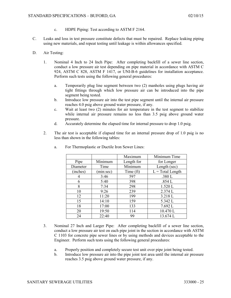- c. HDPE Piping: Test according to ASTM F 2164.
- C. Leaks and loss in test pressure constitute defects that must be repaired. Replace leaking piping using new materials, and repeat testing until leakage is within allowances specified.
- D. Air Testing:
	- 1. Nominal 4 Inch to 24 Inch Pipe: After completing backfill of a sewer line section, conduct a low pressure air test depending on pipe material in accordance with ASTM C 924, ASTM C 828, ASTM F 1417, or UNI-B-6 guidelines for installation acceptance. Perform such tests using the following general procedures:
		- a. Temporarily plug line segment between two (2) manholes using plugs having air tight fittings through which low pressure air can be introduced into the pipe segment being tested.
		- b. Introduce low pressure air into the test pipe segment until the internal air pressure reaches 4.0 psig above ground water pressure, if any.
		- c. Wait at least two (2) minutes for air temperature in the test segment to stabilize while internal air pressure remains no less than 3.5 psig above ground water pressure.
		- d. Accurately determine the elapsed time for internal pressure to drop 1.0 psig.
	- 2. The air test is acceptable if elapsed time for an internal pressure drop of 1.0 psig is no less than shown in the following tables:

|          |           | Maximum    | Minimum Time       |
|----------|-----------|------------|--------------------|
| Pipe     | Minimum   | Length for | for Longer         |
| Diameter | Time      | Minimum    | Length (sec)       |
| (inches) | (min:sec) | Time (ft)  | $L = Total Length$ |
| 4        | 3:46      | 597        | .380 L             |
| 6        | 5:40      | 398        | .854 L             |
| 8        | 7:34      | 298        | 1.520 L            |
| 10       | 9:26      | 239        | 2.374 L            |
| 12       | 11:20     | 199        | 3.218 L            |
| 15       | 14:10     | 159        | 5.342 L            |
| 18       | 17:00     | 133        | 7.692L             |
| 20       | 19:50     | 114        | 10.470L            |
| 24       | 22:40     | 99         | 13.674L            |

a. For Thermoplastic or Ductile Iron Sewer Lines:

- 3. Nominal 27 Inch and Larger Pipe: After completing backfill of a sewer line section, conduct a low pressure air test on each pipe joint in the section in accordance with ASTM C 1103 for concrete pipe sewer lines or by using methods and devices acceptable to the Engineer. Perform such tests using the following general procedures:
	- a. Properly position and completely secure test unit over pipe joint being tested.
	- b. Introduce low pressure air into the pipe joint test area until the internal air pressure reaches 3.5 psig above ground water pressure, if any.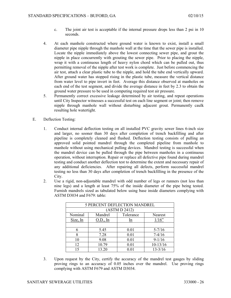- c. The joint air test is acceptable if the internal pressure drops less than 2 psi in 10 seconds.
- 4. At each manhole constructed where ground water is known to exist, install a small diameter pipe nipple through the manhole wall at the time that the sewer pipe is installed. Locate the nipple immediately above the lowest connecting sewer pipe, and grout the nipple in place concurrently with grouting the sewer pipe. Prior to placing the nipple, wrap it with a continuous length of heavy nylon chord which can be pulled out, thus permitting removal of the nipple after test work is complete. Just before commencing the air test, attach a clear plastic tube to the nipple, and hold the tube end vertically upward. After ground water has stopped rising in the plastic tube, measure the vertical distance from water level to pipe invert in feet. Average this distance observed at manholes on each end of the test segment, and divide the average distance in feet by 2.3 to obtain the ground water pressure to be used in computing required test air pressure.
- 5. Permanently correct excessive leakage determined by air testing, and repeat operations until City Inspector witnesses a successful test on each line segment or joint; then remove nipple through manhole wall without disturbing adjacent grout. Permanently caulk resulting hole watertight.
- E. Deflection Testing:
	- 1. Conduct internal deflection testing on all installed PVC gravity sewer lines 6-inch size and larger, no sooner than 30 days after completion of trench backfilling and after pipeline is completely cleaned and flushed. Deflection testing consists of pulling an approved solid pointed mandrel through the completed pipeline from manhole to manhole without using mechanical pulling devices. Mandrel testing is successful when the mandrel device can be pulled through the pipe between manholes in a continuous operation, without interruption. Repair or replace all defective pipe found during mandrel testing and conduct another deflection test to determine the extent and necessary repair of any additional deficiencies. After repairing all defects, perform successful mandrel testing no less than 30 days after completion of trench backfilling in the presence of the City.
	- 2. Use a rigid, non-adjustable mandrel with odd number of legs or runners (not less than nine legs) and a length at least 75% of the inside diameter of the pipe being tested. Furnish mandrels sized as tabulated below using base inside diameters complying with ASTM D3034 and F679: table:

| <b>5 PERCENT DEFLECTION MANDREL</b> |          |           |                |  |  |
|-------------------------------------|----------|-----------|----------------|--|--|
| (ASTM D 2412)                       |          |           |                |  |  |
| Nominal                             | Mandrel  | Tolerance | <b>Nearest</b> |  |  |
| Size, In                            | O.D., In | <u>In</u> | 1/16"          |  |  |
|                                     |          |           |                |  |  |
|                                     | 5.45     | 0.01      | $5 - 7/16$     |  |  |
| 8                                   | 7.28     | 0.01      | $7-4/16$       |  |  |
| 10                                  | 9.08     | 0.01      | $9-1/16$       |  |  |
| 12                                  | 10.79    | 0.01      | $10-13/16$     |  |  |
| 15                                  | 13.20    |           | $13 - 3/16$    |  |  |

3. Upon request by the City, certify the accuracy of the mandrel test gauges by sliding proving rings to an accuracy of 0.05 inches over the mandrel. Use proving rings complying with ASTM F679 and ASTM D3034.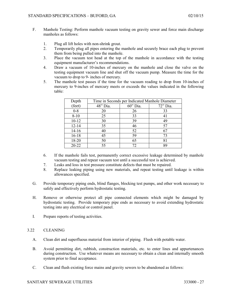- F. Manhole Testing: Perform manhole vacuum testing on gravity sewer and force main discharge manholes as follows:
	- 1. Plug all lift holes with non-shrink grout.
	- 2. Temporarily plug all pipes entering the manhole and securely brace each plug to prevent them from being pulled into the manhole.
	- 3. Place the vacuum test head at the top of the manhole in accordance with the testing equipment manufacturer's recommendations.
	- 4. Draw a vacuum of 10-inches of mercury on the manhole and close the valve on the testing equipment vacuum line and shut off the vacuum pump. Measure the time for the vacuum to drop to 9- inches of mercury.
	- 5. The manhole test passes if the time for the vacuum reading to drop from 10-inches of mercury to 9-inches of mercury meets or exceeds the values indicated in the following table:

| Depth     | Time in Seconds per Indicated Manhole Diameter |          |          |  |
|-----------|------------------------------------------------|----------|----------|--|
| (feet)    | 48" Dia.                                       | 60" Dia. | 72" Dia. |  |
| $0-8$     | 20                                             | 26       | 33       |  |
| $8 - 10$  | 25                                             | 33       | 41       |  |
| $10 - 12$ | 30                                             | 39       | 49       |  |
| $12 - 14$ | 35                                             | 46       | 57       |  |
| $14-16$   | 40                                             | 52       | 67       |  |
| $16 - 18$ | 45                                             | 59       | 73       |  |
| 18-20     | 50                                             | 65       | 81       |  |
| $20 - 22$ | 55                                             | 72       | 89       |  |

- 6. If the manhole fails test, permanently correct excessive leakage determined by manhole vacuum testing and repeat vacuum test until a successful test is achieved.
- 7. Leaks and loss in test pressure constitute defects that must be repaired.
- 8. Replace leaking piping using new materials, and repeat testing until leakage is within allowances specified.
- G. Provide temporary piping ends, blind flanges, blocking test pumps, and other work necessary to safely and effectively perform hydrostatic testing.
- H. Remove or otherwise protect all pipe connected elements which might be damaged by hydrostatic testing. Provide temporary pipe ends as necessary to avoid extending hydrostatic testing into any electrical or control panel.
- I. Prepare reports of testing activities.

## 3.22 CLEANING

- A. Clean dirt and superfluous material from interior of piping.Flush with potable water.
- B. Avoid permitting dirt, rubbish, construction materials, etc. to enter lines and appurtenances during construction. Use whatever means are necessary to obtain a clean and internally smooth system prior to final acceptance.
- C. Clean and flush existing force mains and gravity sewers to be abandoned as follows: